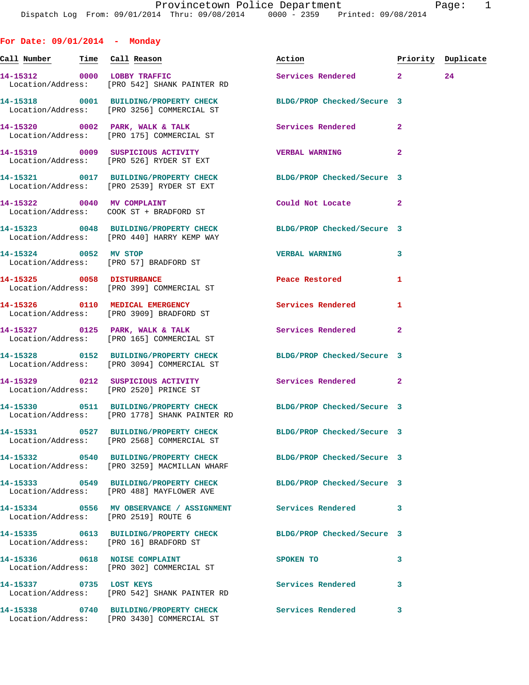**For Date: 09/01/2014 - Monday Call Number Time Call Reason Action Priority Duplicate 14-15312 0000 LOBBY TRAFFIC Services Rendered 2 24**  Location/Address: [PRO 542] SHANK PAINTER RD **14-15318 0001 BUILDING/PROPERTY CHECK BLDG/PROP Checked/Secure 3**  Location/Address: [PRO 3256] COMMERCIAL ST 14-15320 0002 PARK, WALK & TALK **Services Rendered** 2 Location/Address: [PRO 175] COMMERCIAL ST **14-15319 0009 SUSPICIOUS ACTIVITY VERBAL WARNING 2**  Location/Address: [PRO 526] RYDER ST EXT **14-15321 0017 BUILDING/PROPERTY CHECK BLDG/PROP Checked/Secure 3**  Location/Address: [PRO 2539] RYDER ST EXT **14-15322 0040 MV COMPLAINT Could Not Locate 2**  Location/Address: COOK ST + BRADFORD ST **14-15323 0048 BUILDING/PROPERTY CHECK BLDG/PROP Checked/Secure 3**  Location/Address: [PRO 440] HARRY KEMP WAY **14-15324 0052 MV STOP VERBAL WARNING 3**  Location/Address: [PRO 57] BRADFORD ST **14-15325 0058 DISTURBANCE Peace Restored 1**  Location/Address: [PRO 399] COMMERCIAL ST **14-15326 0110 MEDICAL EMERGENCY Services Rendered 1**  Location/Address: [PRO 3909] BRADFORD ST **14-15327 0125 PARK, WALK & TALK Services Rendered 2**  Location/Address: [PRO 165] COMMERCIAL ST **14-15328 0152 BUILDING/PROPERTY CHECK BLDG/PROP Checked/Secure 3**  Location/Address: [PRO 3094] COMMERCIAL ST **14-15329 0212 SUSPICIOUS ACTIVITY Services Rendered 2**  Location/Address: [PRO 2520] PRINCE ST **14-15330 0511 BUILDING/PROPERTY CHECK BLDG/PROP Checked/Secure 3**  Location/Address: [PRO 1778] SHANK PAINTER RD **14-15331 0527 BUILDING/PROPERTY CHECK BLDG/PROP Checked/Secure 3**  Location/Address: [PRO 2568] COMMERCIAL ST **14-15332 0540 BUILDING/PROPERTY CHECK BLDG/PROP Checked/Secure 3**  Location/Address: [PRO 3259] MACMILLAN WHARF **14-15333 0549 BUILDING/PROPERTY CHECK BLDG/PROP Checked/Secure 3**  Location/Address: [PRO 488] MAYFLOWER AVE **14-15334 0556 MV OBSERVANCE / ASSIGNMENT Services Rendered 3**  Location/Address: [PRO 2519] ROUTE 6 **14-15335 0613 BUILDING/PROPERTY CHECK BLDG/PROP Checked/Secure 3**  Location/Address: [PRO 16] BRADFORD ST **14-15336 0618 NOISE COMPLAINT SPOKEN TO 3**  Location/Address: [PRO 302] COMMERCIAL ST 14-15337 **1288** 0735 LOST KEYS **1288 1288** Services Rendered 3 Location/Address: [PRO 542] SHANK PAINTER RD

Location/Address: [PRO 3430] COMMERCIAL ST

**14-15338 0740 BUILDING/PROPERTY CHECK Services Rendered 3**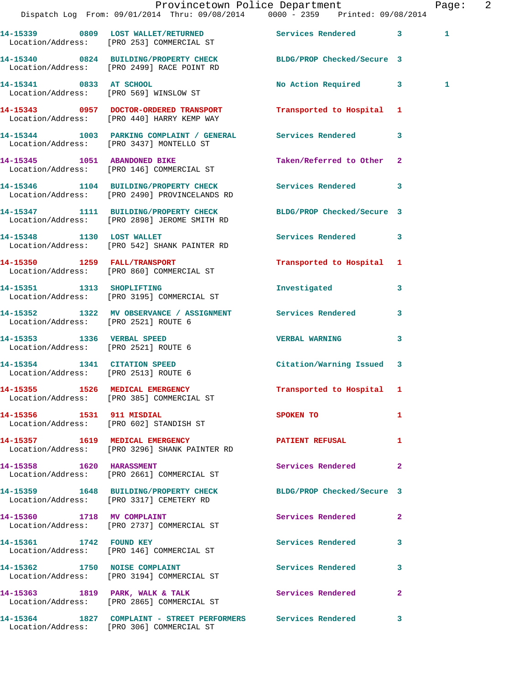|                                                                      | Dispatch Log From: 09/01/2014 Thru: 09/08/2014 0000 - 2359 Printed: 09/08/2014                                   | Provincetown Police Department     |              | Page: 2 |  |
|----------------------------------------------------------------------|------------------------------------------------------------------------------------------------------------------|------------------------------------|--------------|---------|--|
|                                                                      | 14-15339 0809 LOST WALLET/RETURNED Services Rendered 3<br>Location/Address: [PRO 253] COMMERCIAL ST              |                                    |              | 1       |  |
|                                                                      | 14-15340 0824 BUILDING/PROPERTY CHECK BLDG/PROP Checked/Secure 3<br>Location/Address: [PRO 2499] RACE POINT RD   |                                    |              |         |  |
|                                                                      | 14-15341 0833 AT SCHOOL<br>Location/Address: [PRO 569] WINSLOW ST                                                | No Action Required 3               |              | 1       |  |
|                                                                      | 14-15343 0957 DOCTOR-ORDERED TRANSPORT<br>Location/Address: [PRO 440] HARRY KEMP WAY                             | Transported to Hospital 1          |              |         |  |
|                                                                      | 14-15344 1003 PARKING COMPLAINT / GENERAL Services Rendered 3<br>Location/Address: [PRO 3437] MONTELLO ST        |                                    |              |         |  |
|                                                                      | 14-15345 1051 ABANDONED BIKE<br>Location/Address: [PRO 146] COMMERCIAL ST                                        | Taken/Referred to Other 2          |              |         |  |
|                                                                      | 14-15346 1104 BUILDING/PROPERTY CHECK Services Rendered 3<br>Location/Address: [PRO 2490] PROVINCELANDS RD       |                                    |              |         |  |
|                                                                      | 14-15347 1111 BUILDING/PROPERTY CHECK BLDG/PROP Checked/Secure 3<br>Location/Address: [PRO 2898] JEROME SMITH RD |                                    |              |         |  |
|                                                                      | 14-15348 1130 LOST WALLET<br>Location/Address: [PRO 542] SHANK PAINTER RD                                        | Services Rendered 3                |              |         |  |
|                                                                      | 14-15350 1259 FALL/TRANSPORT<br>Location/Address: [PRO 860] COMMERCIAL ST                                        | Transported to Hospital 1          |              |         |  |
| 14-15351 1313 SHOPLIFTING                                            | Location/Address: [PRO 3195] COMMERCIAL ST                                                                       | Investigated                       | 3            |         |  |
|                                                                      | 14-15352 1322 MV OBSERVANCE / ASSIGNMENT Services Rendered<br>Location/Address: [PRO 2521] ROUTE 6               |                                    | 3            |         |  |
| 14-15353 1336 VERBAL SPEED<br>Location/Address: [PRO 2521] ROUTE 6   |                                                                                                                  | <b>VERBAL WARNING</b>              | 3            |         |  |
| 14-15354 1341 CITATION SPEED<br>Location/Address: [PRO 2513] ROUTE 6 |                                                                                                                  | Citation/Warning Issued 3          |              |         |  |
|                                                                      | 14-15355 1526 MEDICAL EMERGENCY<br>Location/Address: [PRO 385] COMMERCIAL ST                                     | Transported to Hospital 1          |              |         |  |
|                                                                      | 14-15356 1531 911 MISDIAL<br>Location/Address: [PRO 602] STANDISH ST                                             | <b>SPOKEN TO</b>                   | 1            |         |  |
|                                                                      | 14-15357 1619 MEDICAL EMERGENCY<br>Location/Address: [PRO 3296] SHANK PAINTER RD                                 | <b>PATIENT REFUSAL</b><br>$\sim$ 1 |              |         |  |
|                                                                      | 14-15358 1620 HARASSMENT<br>Location/Address: [PRO 2661] COMMERCIAL ST                                           | Services Rendered                  | $\mathbf{2}$ |         |  |
|                                                                      | 14-15359 1648 BUILDING/PROPERTY CHECK BLDG/PROP Checked/Secure 3<br>Location/Address: [PRO 3317] CEMETERY RD     |                                    |              |         |  |
|                                                                      | 14-15360 1718 MV COMPLAINT<br>Location/Address: [PRO 2737] COMMERCIAL ST                                         | Services Rendered                  | $\mathbf{2}$ |         |  |
| 14-15361 1742 FOUND KEY                                              | Location/Address: [PRO 146] COMMERCIAL ST                                                                        | Services Rendered 3                |              |         |  |
|                                                                      | 14-15362 1750 NOISE COMPLAINT<br>Location/Address: [PRO 3194] COMMERCIAL ST                                      | Services Rendered                  | 3            |         |  |
|                                                                      | 14-15363 1819 PARK, WALK & TALK<br>Location/Address: [PRO 2865] COMMERCIAL ST                                    | Services Rendered                  | $\mathbf{2}$ |         |  |
|                                                                      | 14-15364 1827 COMPLAINT - STREET PERFORMERS Services Rendered 3<br>Location/Address: [PRO 306] COMMERCIAL ST     |                                    |              |         |  |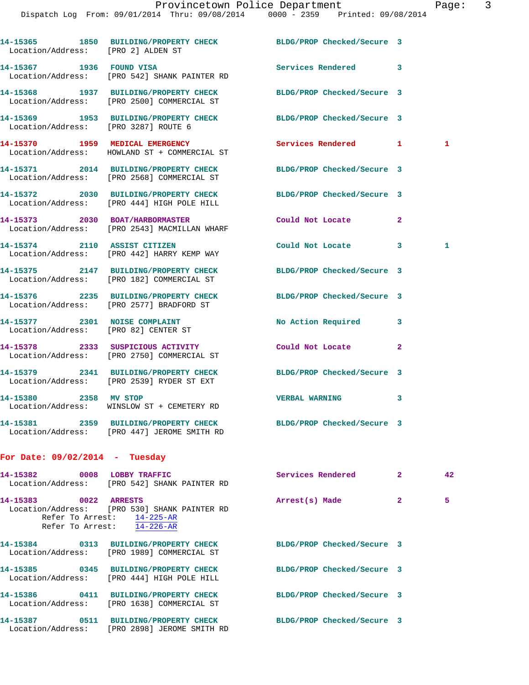| Location/Address: [PRO 2] ALDEN ST                                    | 14-15365 1850 BUILDING/PROPERTY CHECK BLDG/PROP Checked/Secure 3                                                |                            |                |              |
|-----------------------------------------------------------------------|-----------------------------------------------------------------------------------------------------------------|----------------------------|----------------|--------------|
| 14-15367 1936 FOUND VISA                                              | Location/Address: [PRO 542] SHANK PAINTER RD                                                                    | Services Rendered 3        |                |              |
|                                                                       | 14-15368 1937 BUILDING/PROPERTY CHECK<br>Location/Address: [PRO 2500] COMMERCIAL ST                             | BLDG/PROP Checked/Secure 3 |                |              |
| Location/Address: [PRO 3287] ROUTE 6                                  | 14-15369 1953 BUILDING/PROPERTY CHECK BLDG/PROP Checked/Secure 3                                                |                            |                |              |
|                                                                       | 14-15370 1959 MEDICAL EMERGENCY<br>Location/Address: HOWLAND ST + COMMERCIAL ST                                 | Services Rendered 1        |                | 1            |
|                                                                       | 14-15371 2014 BUILDING/PROPERTY CHECK<br>Location/Address: [PRO 2568] COMMERCIAL ST                             | BLDG/PROP Checked/Secure 3 |                |              |
|                                                                       | 14-15372 2030 BUILDING/PROPERTY CHECK BLDG/PROP Checked/Secure 3<br>Location/Address: [PRO 444] HIGH POLE HILL  |                            |                |              |
| 14-15373 2030 BOAT/HARBORMASTER                                       | Location/Address: [PRO 2543] MACMILLAN WHARF                                                                    | Could Not Locate           | $\overline{2}$ |              |
| 14-15374 2110 ASSIST CITIZEN                                          | Location/Address: [PRO 442] HARRY KEMP WAY                                                                      | Could Not Locate           | $\mathbf{3}$   | $\mathbf{1}$ |
|                                                                       | 14-15375 2147 BUILDING/PROPERTY CHECK<br>Location/Address: [PRO 182] COMMERCIAL ST                              | BLDG/PROP Checked/Secure 3 |                |              |
|                                                                       | 14-15376 2235 BUILDING/PROPERTY CHECK<br>Location/Address: [PRO 2577] BRADFORD ST                               | BLDG/PROP Checked/Secure 3 |                |              |
| 14-15377 2301 NOISE COMPLAINT<br>Location/Address: [PRO 82] CENTER ST |                                                                                                                 | No Action Required         | 3              |              |
|                                                                       | 14-15378 2333 SUSPICIOUS ACTIVITY<br>Location/Address: [PRO 2750] COMMERCIAL ST                                 | Could Not Locate           | $\mathbf{2}$   |              |
|                                                                       | 14-15379 2341 BUILDING/PROPERTY CHECK<br>Location/Address: [PRO 2539] RYDER ST EXT                              | BLDG/PROP Checked/Secure 3 |                |              |
| 14-15380 2358 MV STOP                                                 | Location/Address: WINSLOW ST + CEMETERY RD                                                                      | <b>VERBAL WARNING</b>      | 3              |              |
|                                                                       | 14-15381 2359 BUILDING/PROPERTY CHECK BLDG/PROP Checked/Secure 3<br>Location/Address: [PRO 447] JEROME SMITH RD |                            |                |              |
| For Date: $09/02/2014$ - Tuesday                                      |                                                                                                                 |                            |                |              |

|                       | 14-15382 0008 LOBBY TRAFFIC<br>Location/Address: [PRO 542] SHANK PAINTER RD                              |                | <b>Services Rendered</b>   | $\overline{2}$ | 42 |
|-----------------------|----------------------------------------------------------------------------------------------------------|----------------|----------------------------|----------------|----|
| 14-15383 0022 ARRESTS | Location/Address: [PRO 530] SHANK PAINTER RD<br>Refer To Arrest: 14-225-AR<br>Refer To Arrest: 14-226-AR | Arrest(s) Made |                            | $\overline{2}$ | 5  |
|                       | Location/Address: [PRO 1989] COMMERCIAL ST                                                               |                | BLDG/PROP Checked/Secure 3 |                |    |
|                       | 14-15385 0345 BUILDING/PROPERTY CHECK<br>Location/Address: [PRO 444] HIGH POLE HILL                      |                | BLDG/PROP Checked/Secure 3 |                |    |
|                       | Location/Address: [PRO 1638] COMMERCIAL ST                                                               |                | BLDG/PROP Checked/Secure 3 |                |    |
|                       | Location/Address: [PRO 2898] JEROME SMITH RD                                                             |                | BLDG/PROP Checked/Secure 3 |                |    |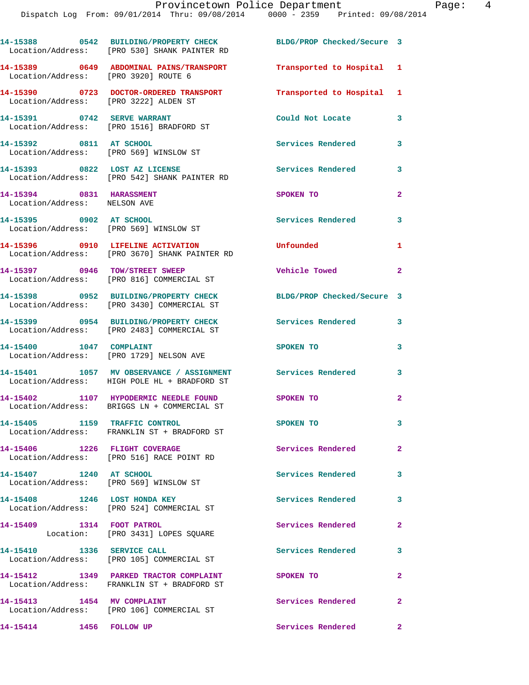**14-15388 0542 BUILDING/PROPERTY CHECK BLDG/PROP Checked/Secure 3**  Location/Address: [PRO 530] SHANK PAINTER RD **14-15389 0649 ABDOMINAL PAINS/TRANSPORT Transported to Hospital 1**  Location/Address: [PRO 3920] ROUTE 6 **14-15390 0723 DOCTOR-ORDERED TRANSPORT Transported to Hospital 1**  Location/Address: [PRO 3222] ALDEN ST **14-15391 0742 SERVE WARRANT Could Not Locate 3**  Location/Address: [PRO 1516] BRADFORD ST **14-15392 0811 AT SCHOOL Services Rendered 3**  Location/Address: [PRO 569] WINSLOW ST **14-15393 0822 LOST AZ LICENSE Services Rendered 3**  Location/Address: [PRO 542] SHANK PAINTER RD **14-15394 0831 HARASSMENT SPOKEN TO 2**  Location/Address: NELSON AVE **14-15395 0902 AT SCHOOL Services Rendered 3**  Location/Address: [PRO 569] WINSLOW ST **14-15396 0910 LIFELINE ACTIVATION Unfounded 1**  Location/Address: [PRO 3670] SHANK PAINTER RD **14-15397 0946 TOW/STREET SWEEP Vehicle Towed 2**  Location/Address: [PRO 816] COMMERCIAL ST **14-15398 0952 BUILDING/PROPERTY CHECK BLDG/PROP Checked/Secure 3**  Location/Address: [PRO 3430] COMMERCIAL ST **14-15399 0954 BUILDING/PROPERTY CHECK Services Rendered 3**  Location/Address: [PRO 2483] COMMERCIAL ST **14-15400 1047 COMPLAINT 1047 SPOKEN TO** 3 Location/Address: [PRO 1729] NELSON AVE **14-15401 1057 MV OBSERVANCE / ASSIGNMENT Services Rendered 3**  Location/Address: HIGH POLE HL + BRADFORD ST **14-15402 1107 HYPODERMIC NEEDLE FOUND SPOKEN TO 2**  Location/Address: BRIGGS LN + COMMERCIAL ST **14-15405 1159 TRAFFIC CONTROL SPOKEN TO 3**  Location/Address: FRANKLIN ST + BRADFORD ST **14-15406 1226 FLIGHT COVERAGE Services Rendered 2**  Location/Address: [PRO 516] RACE POINT RD **14-15407 1240 AT SCHOOL Services Rendered 3**  Location/Address: [PRO 569] WINSLOW ST **14-15408 1246 LOST HONDA KEY Services Rendered 3**  Location/Address: [PRO 524] COMMERCIAL ST **14-15409 1314 FOOT PATROL Services Rendered 2**  Location: [PRO 3431] LOPES SQUARE **14-15410 1336 SERVICE CALL Services Rendered 3**  Location/Address: [PRO 105] COMMERCIAL ST **14-15412 1349 PARKED TRACTOR COMPLAINT SPOKEN TO 2**  Location/Address: FRANKLIN ST + BRADFORD ST **14-15413 1454 MV COMPLAINT Services Rendered 2**  Location/Address: [PRO 106] COMMERCIAL ST **14-15414 1456 FOLLOW UP Services Rendered 2**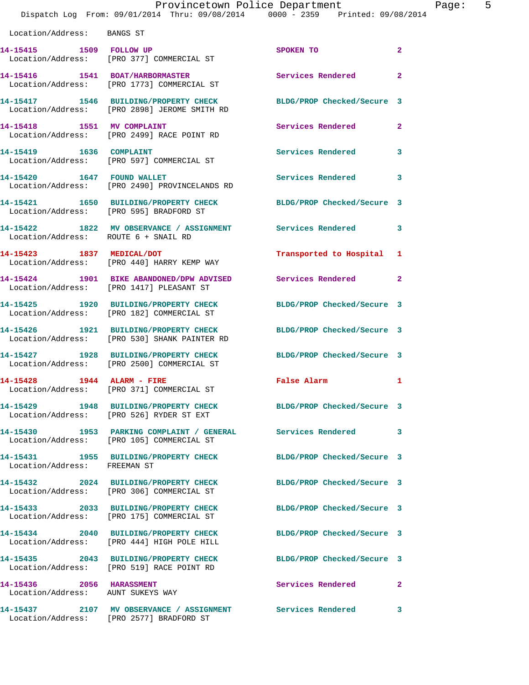|                                                               | Provincetown Police Department<br>Dispatch Log From: 09/01/2014 Thru: 09/08/2014 0000 - 2359 Printed: 09/08/2014 |                            |              |
|---------------------------------------------------------------|------------------------------------------------------------------------------------------------------------------|----------------------------|--------------|
| Location/Address: BANGS ST                                    |                                                                                                                  |                            |              |
|                                                               | 14-15415 1509 FOLLOW UP<br>Location/Address: [PRO 377] COMMERCIAL ST                                             | <b>SPOKEN TO</b>           | $\mathbf{2}$ |
|                                                               | 14-15416 1541 BOAT/HARBORMASTER<br>Location/Address: [PRO 1773] COMMERCIAL ST                                    | Services Rendered          | $\mathbf{2}$ |
|                                                               | 14-15417 1546 BUILDING/PROPERTY CHECK<br>Location/Address: [PRO 2898] JEROME SMITH RD                            | BLDG/PROP Checked/Secure 3 |              |
| 14-15418 1551 MV COMPLAINT                                    | Location/Address: [PRO 2499] RACE POINT RD                                                                       | Services Rendered          | $\mathbf{2}$ |
| 14-15419    1636    COMPLAINT                                 | Location/Address: [PRO 597] COMMERCIAL ST                                                                        | Services Rendered          | 3            |
| 14-15420 1647 FOUND WALLET                                    | Location/Address: [PRO 2490] PROVINCELANDS RD                                                                    | Services Rendered          | 3            |
|                                                               | 14-15421 1650 BUILDING/PROPERTY CHECK<br>Location/Address: [PRO 595] BRADFORD ST                                 | BLDG/PROP Checked/Secure 3 |              |
| Location/Address: ROUTE 6 + SNAIL RD                          | 14-15422 1822 MV OBSERVANCE / ASSIGNMENT Services Rendered                                                       |                            | 3            |
| 14-15423 1837 MEDICAL/DOT                                     | Location/Address: [PRO 440] HARRY KEMP WAY                                                                       | Transported to Hospital    | 1            |
|                                                               | 14-15424 1901 BIKE ABANDONED/DPW ADVISED<br>Location/Address: [PRO 1417] PLEASANT ST                             | Services Rendered          | 2            |
|                                                               | 14-15425 1920 BUILDING/PROPERTY CHECK<br>Location/Address: [PRO 182] COMMERCIAL ST                               | BLDG/PROP Checked/Secure 3 |              |
|                                                               | 14-15426 1921 BUILDING/PROPERTY CHECK<br>Location/Address: [PRO 530] SHANK PAINTER RD                            | BLDG/PROP Checked/Secure 3 |              |
|                                                               | 14-15427 1928 BUILDING/PROPERTY CHECK<br>Location/Address: [PRO 2500] COMMERCIAL ST                              | BLDG/PROP Checked/Secure 3 |              |
| 14-15428 1944 ALARM - FIRE                                    | Location/Address: [PRO 371] COMMERCIAL ST                                                                        | False Alarm                | 1            |
|                                                               | Location/Address: [PRO 526] RYDER ST EXT                                                                         | BLDG/PROP Checked/Secure 3 |              |
|                                                               | 14-15430 1953 PARKING COMPLAINT / GENERAL Services Rendered<br>Location/Address: [PRO 105] COMMERCIAL ST         |                            | 3            |
| Location/Address: FREEMAN ST                                  | 14-15431 1955 BUILDING/PROPERTY CHECK                                                                            | BLDG/PROP Checked/Secure 3 |              |
|                                                               | 14-15432 2024 BUILDING/PROPERTY CHECK<br>Location/Address: [PRO 306] COMMERCIAL ST                               | BLDG/PROP Checked/Secure 3 |              |
|                                                               | 14-15433 2033 BUILDING/PROPERTY CHECK<br>Location/Address: [PRO 175] COMMERCIAL ST                               | BLDG/PROP Checked/Secure 3 |              |
|                                                               | 14-15434 2040 BUILDING/PROPERTY CHECK<br>Location/Address: [PRO 444] HIGH POLE HILL                              | BLDG/PROP Checked/Secure 3 |              |
|                                                               | 14-15435 2043 BUILDING/PROPERTY CHECK<br>Location/Address: [PRO 519] RACE POINT RD                               | BLDG/PROP Checked/Secure 3 |              |
| 14-15436 2056 HARASSMENT<br>Location/Address: AUNT SUKEYS WAY |                                                                                                                  | Services Rendered          | 2            |
|                                                               | 14-15437 2107 MV OBSERVANCE / ASSIGNMENT                                                                         | Services Rendered          | 3            |

Location/Address: [PRO 2577] BRADFORD ST

Page:  $5\frac{4}{5}$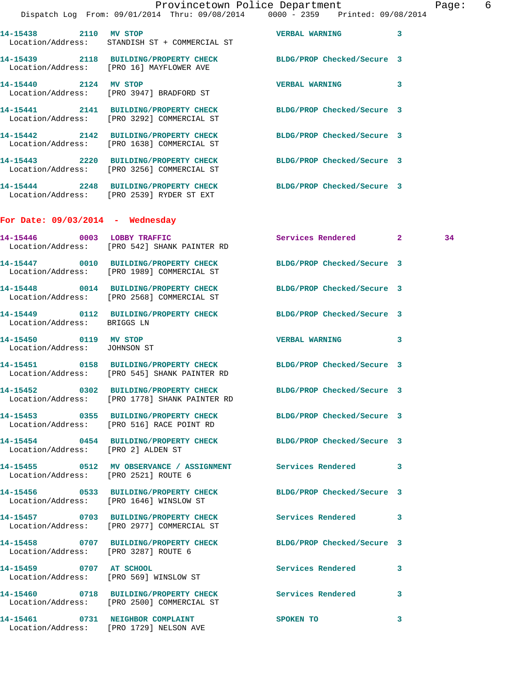|                                                       | Dispatch Log From: 09/01/2014 Thru: 09/08/2014 0000 - 2359 Printed: 09/08/2014                                   | Provincetown Police Department Page: 6 |    |
|-------------------------------------------------------|------------------------------------------------------------------------------------------------------------------|----------------------------------------|----|
|                                                       | 14-15438 2110 MV STOP<br>Location/Address: STANDISH ST + COMMERCIAL ST                                           | <b>VERBAL WARNING</b><br>3             |    |
|                                                       | 14-15439 2118 BUILDING/PROPERTY CHECK BLDG/PROP Checked/Secure 3<br>Location/Address: [PRO 16] MAYFLOWER AVE     |                                        |    |
|                                                       | 14-15440 2124 MV STOP<br>Location/Address: [PRO 3947] BRADFORD ST                                                | <b>VERBAL WARNING</b><br>3             |    |
|                                                       | 14-15441 2141 BUILDING/PROPERTY CHECK BLDG/PROP Checked/Secure 3<br>Location/Address: [PRO 3292] COMMERCIAL ST   |                                        |    |
|                                                       | 14-15442 2142 BUILDING/PROPERTY CHECK<br>Location/Address: [PRO 1638] COMMERCIAL ST                              | BLDG/PROP Checked/Secure 3             |    |
|                                                       | 14-15443 2220 BUILDING/PROPERTY CHECK BLDG/PROP Checked/Secure 3<br>Location/Address: [PRO 3256] COMMERCIAL ST   |                                        |    |
|                                                       | 14-15444 2248 BUILDING/PROPERTY CHECK<br>Location/Address: [PRO 2539] RYDER ST EXT                               | BLDG/PROP Checked/Secure 3             |    |
| For Date: $09/03/2014$ - Wednesday                    |                                                                                                                  |                                        |    |
|                                                       | 14-15446 0003 LOBBY TRAFFIC<br>Location/Address: [PRO 542] SHANK PAINTER RD                                      | Services Rendered 2                    | 34 |
|                                                       | 14-15447 0010 BUILDING/PROPERTY CHECK BLDG/PROP Checked/Secure 3<br>Location/Address: [PRO 1989] COMMERCIAL ST   |                                        |    |
|                                                       | 14-15448 0014 BUILDING/PROPERTY CHECK BLDG/PROP Checked/Secure 3<br>Location/Address: [PRO 2568] COMMERCIAL ST   |                                        |    |
| Location/Address: BRIGGS LN                           | 14-15449 0112 BUILDING/PROPERTY CHECK BLDG/PROP Checked/Secure 3                                                 |                                        |    |
| 14-15450 0119 MV STOP<br>Location/Address: JOHNSON ST |                                                                                                                  | VERBAL WARNING 3                       |    |
|                                                       | 14-15451 0158 BUILDING/PROPERTY CHECK BLDG/PROP Checked/Secure 3<br>Location/Address: [PRO 545] SHANK PAINTER RD |                                        |    |
|                                                       | 14-15452 0302 BUILDING/PROPERTY CHECK<br>Location/Address: [PRO 1778] SHANK PAINTER RD                           | BLDG/PROP Checked/Secure 3             |    |
|                                                       | 14-15453 0355 BUILDING/PROPERTY CHECK BLDG/PROP Checked/Secure 3<br>Location/Address: [PRO 516] RACE POINT RD    |                                        |    |
| Location/Address: [PRO 2] ALDEN ST                    | 14-15454 0454 BUILDING/PROPERTY CHECK BLDG/PROP Checked/Secure 3                                                 |                                        |    |
| Location/Address: [PRO 2521] ROUTE 6                  | 14-15455 0512 MV OBSERVANCE / ASSIGNMENT Services Rendered 3                                                     |                                        |    |
|                                                       | 14-15456 0533 BUILDING/PROPERTY CHECK BLDG/PROP Checked/Secure 3<br>Location/Address: [PRO 1646] WINSLOW ST      |                                        |    |
|                                                       | 14-15457 0703 BUILDING/PROPERTY CHECK Services Rendered 3<br>Location/Address: [PRO 2977] COMMERCIAL ST          |                                        |    |
| Location/Address: [PRO 3287] ROUTE 6                  | 14-15458 0707 BUILDING/PROPERTY CHECK BLDG/PROP Checked/Secure 3                                                 |                                        |    |
|                                                       | 14-15459 0707 AT SCHOOL<br>Location/Address: [PRO 569] WINSLOW ST                                                | <b>Services Rendered</b><br>3          |    |
|                                                       | 14-15460 0718 BUILDING/PROPERTY CHECK Services Rendered 3<br>Location/Address: [PRO 2500] COMMERCIAL ST          |                                        |    |
|                                                       | 14-15461 0731 NEIGHBOR COMPLAINT<br>Location/Address: [PRO 1729] NELSON AVE                                      | SPOKEN TO<br>3                         |    |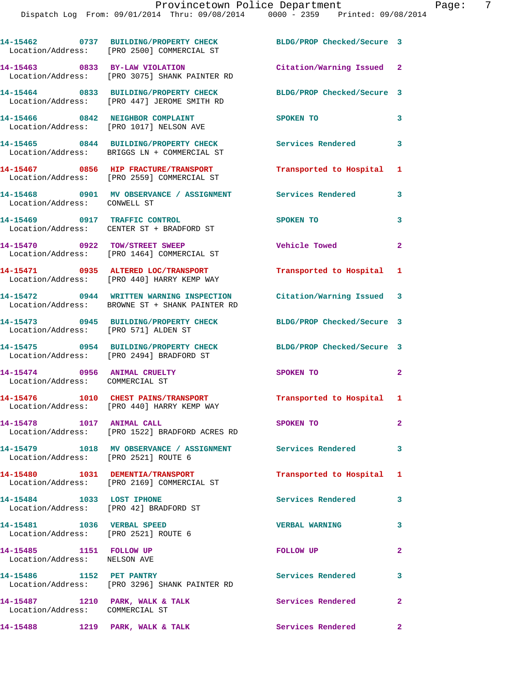|                                                                          | 14-15462 0737 BUILDING/PROPERTY CHECK<br>Location/Address: [PRO 2500] COMMERCIAL ST        | BLDG/PROP Checked/Secure 3 |                |
|--------------------------------------------------------------------------|--------------------------------------------------------------------------------------------|----------------------------|----------------|
| 14-15463 0833 BY-LAW VIOLATION                                           | Location/Address: [PRO 3075] SHANK PAINTER RD                                              | Citation/Warning Issued 2  |                |
|                                                                          | 14-15464 0833 BUILDING/PROPERTY CHECK<br>Location/Address: [PRO 447] JEROME SMITH RD       | BLDG/PROP Checked/Secure 3 |                |
|                                                                          | 14-15466 0842 NEIGHBOR COMPLAINT<br>Location/Address: [PRO 1017] NELSON AVE                | SPOKEN TO                  | 3              |
|                                                                          | 14-15465 0844 BUILDING/PROPERTY CHECK<br>Location/Address: BRIGGS LN + COMMERCIAL ST       | <b>Services Rendered</b>   | 3              |
|                                                                          | 14-15467 0856 HIP FRACTURE/TRANSPORT<br>Location/Address: [PRO 2559] COMMERCIAL ST         | Transported to Hospital 1  |                |
| Location/Address: CONWELL ST                                             | 14-15468 0901 MV OBSERVANCE / ASSIGNMENT Services Rendered                                 |                            | 3              |
| 14-15469 0917 TRAFFIC CONTROL                                            | Location/Address: CENTER ST + BRADFORD ST                                                  | SPOKEN TO                  | 3              |
|                                                                          | 14-15470 0922 TOW/STREET SWEEP<br>Location/Address: [PRO 1464] COMMERCIAL ST               | <b>Vehicle Towed</b>       | $\overline{2}$ |
|                                                                          | 14-15471 0935 ALTERED LOC/TRANSPORT<br>Location/Address: [PRO 440] HARRY KEMP WAY          | Transported to Hospital 1  |                |
|                                                                          | 14-15472 0944 WRITTEN WARNING INSPECTION<br>Location/Address: BROWNE ST + SHANK PAINTER RD | Citation/Warning Issued 3  |                |
| Location/Address: [PRO 571] ALDEN ST                                     | 14-15473 0945 BUILDING/PROPERTY CHECK                                                      | BLDG/PROP Checked/Secure 3 |                |
|                                                                          | 14-15475 0954 BUILDING/PROPERTY CHECK<br>Location/Address: [PRO 2494] BRADFORD ST          | BLDG/PROP Checked/Secure 3 |                |
| 14-15474 0956 ANIMAL CRUELTY<br>Location/Address: COMMERCIAL ST          |                                                                                            | SPOKEN TO                  | $\mathbf{2}$   |
|                                                                          | 14-15476 1010 CHEST PAINS/TRANSPORT<br>Location/Address: [PRO 440] HARRY KEMP WAY          | Transported to Hospital 1  |                |
| 14-15478<br>1017 ANIMAL CALL                                             | Location/Address: [PRO 1522] BRADFORD ACRES RD                                             | SPOKEN TO                  | $\mathbf{2}^-$ |
| Location/Address: [PRO 2521] ROUTE 6                                     | 14-15479 1018 MV OBSERVANCE / ASSIGNMENT Services Rendered                                 |                            | 3              |
|                                                                          | 14-15480    1031 DEMENTIA/TRANSPORT<br>Location/Address: [PRO 2169] COMMERCIAL ST          | Transported to Hospital 1  |                |
| 14-15484 1033 LOST IPHONE<br>Location/Address: [PRO 42] BRADFORD ST      |                                                                                            | Services Rendered          | 3              |
| 14-15481    1036    VERBAL SPEED<br>Location/Address: [PRO 2521] ROUTE 6 |                                                                                            | <b>VERBAL WARNING</b>      | 3              |
| 14-15485 1151 FOLLOW UP<br>Location/Address: NELSON AVE                  |                                                                                            | <b>FOLLOW UP</b>           | $\overline{2}$ |
| 14-15486 1152 PET PANTRY                                                 | Location/Address: [PRO 3296] SHANK PAINTER RD                                              | <b>Services Rendered</b>   | 3              |
| 14-15487 1210 PARK, WALK & TALK<br>Location/Address: COMMERCIAL ST       |                                                                                            | Services Rendered          | $\overline{2}$ |
| 14-15488 1219 PARK, WALK & TALK                                          |                                                                                            | Services Rendered          | $\mathbf{2}$   |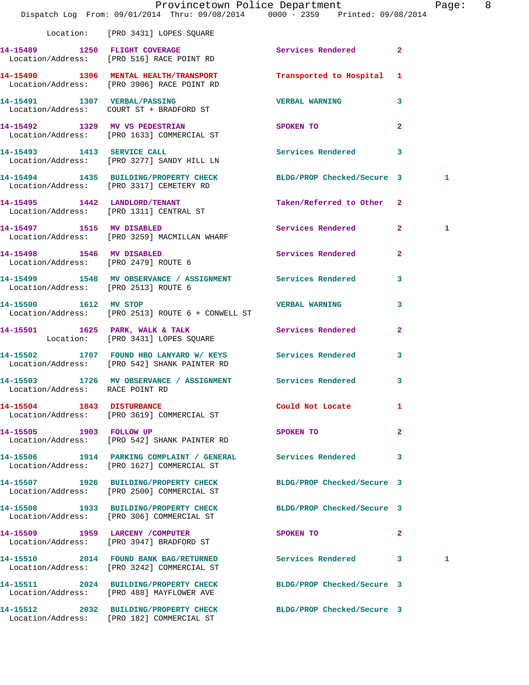|                                      | Dispatch Log From: 09/01/2014 Thru: 09/08/2014 0000 - 2359 Printed: 09/08/2014                                | Provincetown Police Department |                         | Page: 8 |  |
|--------------------------------------|---------------------------------------------------------------------------------------------------------------|--------------------------------|-------------------------|---------|--|
|                                      | Location: [PRO 3431] LOPES SQUARE                                                                             |                                |                         |         |  |
|                                      | 14-15489 1250 FLIGHT COVERAGE<br>Location/Address: [PRO 516] RACE POINT RD                                    | <b>Services Rendered</b> 2     |                         |         |  |
|                                      | 14-15490 1306 MENTAL HEALTH/TRANSPORT<br>Location/Address: [PRO 3906] RACE POINT RD                           | Transported to Hospital 1      |                         |         |  |
|                                      | 14-15491 1307 VERBAL/PASSING<br>Location/Address: COURT ST + BRADFORD ST                                      | <b>VERBAL WARNING</b>          | 3                       |         |  |
|                                      | 14-15492 1329 MV VS PEDESTRIAN<br>Location/Address: [PRO 1633] COMMERCIAL ST                                  | SPOKEN TO                      | $\overline{2}$          |         |  |
|                                      | 14-15493 1413 SERVICE CALL<br>Location/Address: [PRO 3277] SANDY HILL LN                                      | Services Rendered 3            |                         |         |  |
|                                      | 14-15494 1435 BUILDING/PROPERTY CHECK<br>Location/Address: [PRO 3317] CEMETERY RD                             | BLDG/PROP Checked/Secure 3     |                         | 1       |  |
|                                      | 14-15495 1442 LANDLORD/TENANT<br>Location/Address: [PRO 1311] CENTRAL ST                                      | Taken/Referred to Other 2      |                         |         |  |
|                                      | 14-15497 1515 MV DISABLED<br>Location/Address: [PRO 3259] MACMILLAN WHARF                                     | Services Rendered 2            |                         | 1       |  |
|                                      | 14-15498 1546 MV DISABLED<br>Location/Address: [PRO 2479] ROUTE 6                                             | Services Rendered 2            |                         |         |  |
| Location/Address: [PRO 2513] ROUTE 6 | 14-15499 1548 MV OBSERVANCE / ASSIGNMENT Services Rendered                                                    |                                | $\overline{\mathbf{3}}$ |         |  |
| 14-15500 1612 MV STOP                | Location/Address: [PRO 2513] ROUTE 6 + CONWELL ST                                                             | VERBAL WARNING                 | 3                       |         |  |
|                                      | 14-15501 1625 PARK, WALK & TALK 1997 Services Rendered<br>Location: [PRO 3431] LOPES SQUARE                   |                                | $\overline{a}$          |         |  |
|                                      | 14-15502 1707 FOUND HBO LANYARD W/ KEYS Services Rendered<br>Location/Address: [PRO 542] SHANK PAINTER RD     |                                | 3                       |         |  |
| Location/Address: RACE POINT RD      | 14-15503 1726 MV OBSERVANCE / ASSIGNMENT Services Rendered 3                                                  |                                |                         |         |  |
| 14-15504 1843 DISTURBANCE            | Location/Address: [PRO 3619] COMMERCIAL ST                                                                    | Could Not Locate               | $\mathbf{1}$            |         |  |
|                                      | 14-15505 1903 FOLLOW UP<br>Location/Address: [PRO 542] SHANK PAINTER RD                                       | SPOKEN TO                      | $\mathbf{2}$            |         |  |
|                                      | 14-15506 1914 PARKING COMPLAINT / GENERAL Services Rendered 3<br>Location/Address: [PRO 1627] COMMERCIAL ST   |                                |                         |         |  |
|                                      | 14-15507 1926 BUILDING/PROPERTY CHECK<br>Location/Address: [PRO 2500] COMMERCIAL ST                           | BLDG/PROP Checked/Secure 3     |                         |         |  |
|                                      | 14-15508 1933 BUILDING/PROPERTY CHECK BLDG/PROP Checked/Secure 3<br>Location/Address: [PRO 306] COMMERCIAL ST |                                |                         |         |  |
|                                      | 14-15509 1959 LARCENY / COMPUTER<br>Location/Address: [PRO 3947] BRADFORD ST                                  | SPOKEN TO                      | $\mathbf{2}$            |         |  |
|                                      | 14-15510 2014 FOUND BANK BAG/RETURNED<br>Location/Address: [PRO 3242] COMMERCIAL ST                           | Services Rendered 3            |                         | 1       |  |
|                                      | 14-15511 2024 BUILDING/PROPERTY CHECK BLDG/PROP Checked/Secure 3<br>Location/Address: [PRO 488] MAYFLOWER AVE |                                |                         |         |  |
|                                      | 14-15512 2032 BUILDING/PROPERTY CHECK<br>Location/Address: [PRO 182] COMMERCIAL ST                            | BLDG/PROP Checked/Secure 3     |                         |         |  |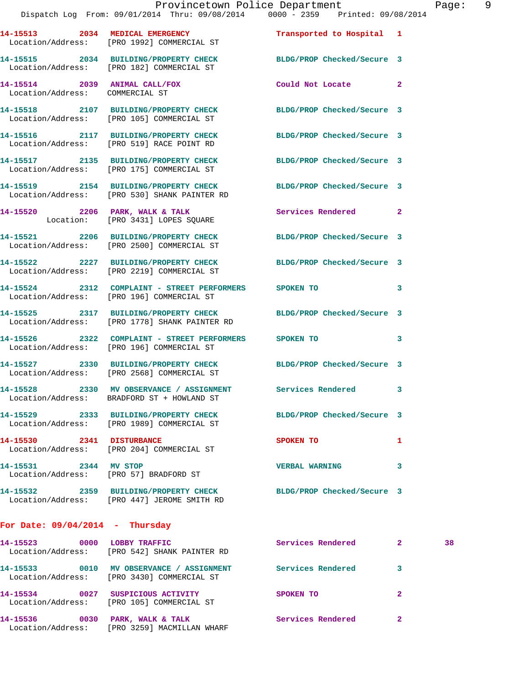|                                   | Dispatch Log From: 09/01/2014 Thru: 09/08/2014 0000 - 2359 Printed: 09/08/2014                                    | Provincetown Police Department | Page: 9                    |
|-----------------------------------|-------------------------------------------------------------------------------------------------------------------|--------------------------------|----------------------------|
|                                   | 14-15513 2034 MEDICAL EMERGENCY<br>Location/Address: [PRO 1992] COMMERCIAL ST                                     | Transported to Hospital 1      |                            |
|                                   | 14-15515 2034 BUILDING/PROPERTY CHECK<br>Location/Address: [PRO 182] COMMERCIAL ST                                | BLDG/PROP Checked/Secure 3     |                            |
| Location/Address: COMMERCIAL ST   | 14-15514 2039 ANIMAL CALL/FOX                                                                                     | Could Not Locate 2             |                            |
|                                   | 14-15518 2107 BUILDING/PROPERTY CHECK BLDG/PROP Checked/Secure 3<br>Location/Address: [PRO 105] COMMERCIAL ST     |                                |                            |
|                                   | 14-15516 2117 BUILDING/PROPERTY CHECK BLDG/PROP Checked/Secure 3<br>Location/Address: [PRO 519] RACE POINT RD     |                                |                            |
|                                   | 14-15517 2135 BUILDING/PROPERTY CHECK BLDG/PROP Checked/Secure 3<br>Location/Address: [PRO 175] COMMERCIAL ST     |                                |                            |
|                                   | 14-15519 2154 BUILDING/PROPERTY CHECK BLDG/PROP Checked/Secure 3<br>Location/Address: [PRO 530] SHANK PAINTER RD  |                                |                            |
|                                   | 14-15520 2206 PARK, WALK & TALK 2 Services Rendered 2<br>Location: [PRO 3431] LOPES SQUARE                        |                                |                            |
|                                   | 14-15521 2206 BUILDING/PROPERTY CHECK BLDG/PROP Checked/Secure 3<br>Location/Address: [PRO 2500] COMMERCIAL ST    |                                |                            |
|                                   | 14-15522 2227 BUILDING/PROPERTY CHECK BLDG/PROP Checked/Secure 3<br>Location/Address: [PRO 2219] COMMERCIAL ST    |                                |                            |
|                                   | 14-15524 2312 COMPLAINT - STREET PERFORMERS SPOKEN TO<br>Location/Address: [PRO 196] COMMERCIAL ST                |                                | $\overline{\phantom{a}}$ 3 |
|                                   | 14-15525 2317 BUILDING/PROPERTY CHECK BLDG/PROP Checked/Secure 3<br>Location/Address: [PRO 1778] SHANK PAINTER RD |                                |                            |
|                                   | 14-15526 2322 COMPLAINT - STREET PERFORMERS SPOKEN TO<br>Location/Address: [PRO 196] COMMERCIAL ST                |                                | $\overline{\phantom{a}}$ 3 |
|                                   | 14-15527 2330 BUILDING/PROPERTY CHECK BLDG/PROP Checked/Secure 3<br>Location/Address: [PRO 2568] COMMERCIAL ST    |                                |                            |
|                                   | 14-15528 2330 MV OBSERVANCE / ASSIGNMENT<br>Location/Address: BRADFORD ST + HOWLAND ST                            | Services Rendered              | 3                          |
|                                   | 14-15529 2333 BUILDING/PROPERTY CHECK<br>Location/Address: [PRO 1989] COMMERCIAL ST                               | BLDG/PROP Checked/Secure 3     |                            |
| 14-15530 2341 DISTURBANCE         | Location/Address: [PRO 204] COMMERCIAL ST                                                                         | SPOKEN TO                      | 1                          |
| 14-15531 2344 MV STOP             | Location/Address: [PRO 57] BRADFORD ST                                                                            | <b>VERBAL WARNING</b>          | 3                          |
|                                   | 14-15532 2359 BUILDING/PROPERTY CHECK BLDG/PROP Checked/Secure 3<br>Location/Address: [PRO 447] JEROME SMITH RD   |                                |                            |
| For Date: $09/04/2014$ - Thursday |                                                                                                                   |                                |                            |

| 14-15523<br>Location/Address: | 0000 | LOBBY TRAFFIC<br>FRO 5421 SHANK PAINTER RD                               | Services Rendered | 38 |
|-------------------------------|------|--------------------------------------------------------------------------|-------------------|----|
| 14-15533                      | 0010 | MV OBSERVANCE / ASSIGNMENT<br>Location/Address: [PRO 3430] COMMERCIAL ST | Services Rendered |    |
| 14-15534                      | 0027 | SUSPICIOUS ACTIVITY<br>Location/Address: [PRO 105] COMMERCIAL ST         | SPOKEN TO         |    |
| 14-15536<br>Location/Address: | 0030 | PARK, WALK & TALK<br>[PRO 3259] MACMILLAN WHARF                          | Services Rendered |    |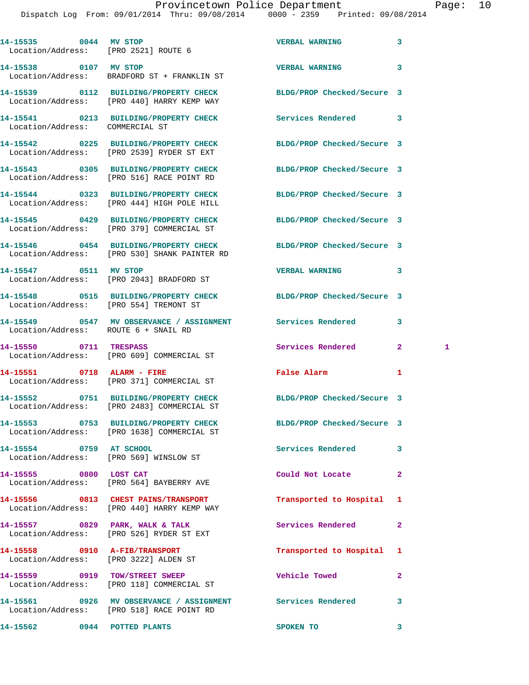Dispatch Log From: 09/01/2014 Thru: 09/08/2014 0000 - 2359 Printed: 09/08/2014

| 14-15535 0044 MV STOP<br>Location/Address: [PRO 2521] ROUTE 6 |                                                                                                                | <b>VERBAL WARNING</b>      | 3                  |
|---------------------------------------------------------------|----------------------------------------------------------------------------------------------------------------|----------------------------|--------------------|
| 14-15538 0107 MV STOP                                         | Location/Address: BRADFORD ST + FRANKLIN ST                                                                    | <b>VERBAL WARNING</b>      | 3                  |
|                                                               | 14-15539 0112 BUILDING/PROPERTY CHECK<br>Location/Address: [PRO 440] HARRY KEMP WAY                            | BLDG/PROP Checked/Secure 3 |                    |
| Location/Address: COMMERCIAL ST                               | 14-15541 0213 BUILDING/PROPERTY CHECK                                                                          | Services Rendered          | 3                  |
|                                                               | 14-15542 0225 BUILDING/PROPERTY CHECK<br>Location/Address: [PRO 2539] RYDER ST EXT                             | BLDG/PROP Checked/Secure 3 |                    |
|                                                               | 14-15543 0305 BUILDING/PROPERTY CHECK<br>Location/Address: [PRO 516] RACE POINT RD                             | BLDG/PROP Checked/Secure 3 |                    |
|                                                               | 14-15544 0323 BUILDING/PROPERTY CHECK<br>Location/Address: [PRO 444] HIGH POLE HILL                            | BLDG/PROP Checked/Secure 3 |                    |
|                                                               | 14-15545 0429 BUILDING/PROPERTY CHECK<br>Location/Address: [PRO 379] COMMERCIAL ST                             | BLDG/PROP Checked/Secure 3 |                    |
|                                                               | 14-15546 0454 BUILDING/PROPERTY CHECK<br>Location/Address: [PRO 530] SHANK PAINTER RD                          | BLDG/PROP Checked/Secure 3 |                    |
| 14-15547 0511 MV STOP                                         | Location/Address: [PRO 2043] BRADFORD ST                                                                       | <b>VERBAL WARNING</b>      | 3                  |
|                                                               | 14-15548 0515 BUILDING/PROPERTY CHECK<br>Location/Address: [PRO 554] TREMONT ST                                | BLDG/PROP Checked/Secure 3 |                    |
| Location/Address: ROUTE 6 + SNAIL RD                          | 14-15549 0547 MV OBSERVANCE / ASSIGNMENT Services Rendered                                                     |                            | 3                  |
| 14-15550 0711 TRESPASS                                        | Location/Address: [PRO 609] COMMERCIAL ST                                                                      | Services Rendered          | $\mathbf{2}$<br>-1 |
|                                                               | 14-15551 0718 ALARM - FIRE<br>Location/Address: [PRO 371] COMMERCIAL ST                                        | False Alarm                | 1                  |
|                                                               | 14-15552 0751 BUILDING/PROPERTY CHECK BLDG/PROP Checked/Secure 3<br>Location/Address: [PRO 2483] COMMERCIAL ST |                            |                    |
|                                                               | 14-15553 0753 BUILDING/PROPERTY CHECK<br>Location/Address: [PRO 1638] COMMERCIAL ST                            | BLDG/PROP Checked/Secure 3 |                    |
| 14-15554 0759 AT SCHOOL                                       | Location/Address: [PRO 569] WINSLOW ST                                                                         | Services Rendered          | 3                  |
| 14-15555 0800 LOST CAT                                        | Location/Address: [PRO 564] BAYBERRY AVE                                                                       | Could Not Locate           | $\mathbf{2}$       |
|                                                               | 14-15556 0813 CHEST PAINS/TRANSPORT<br>Location/Address: [PRO 440] HARRY KEMP WAY                              | Transported to Hospital    | 1                  |
|                                                               | 14-15557 0829 PARK, WALK & TALK<br>Location/Address: [PRO 526] RYDER ST EXT                                    | Services Rendered          | $\mathbf{2}$       |
| 14-15558 0910 A-FIB/TRANSPORT                                 | Location/Address: [PRO 3222] ALDEN ST                                                                          | Transported to Hospital    | 1                  |
|                                                               | 14-15559 0919 TOW/STREET SWEEP<br>Location/Address: [PRO 118] COMMERCIAL ST                                    | <b>Vehicle Towed</b>       | $\overline{a}$     |
|                                                               | 14-15561 0926 MV OBSERVANCE / ASSIGNMENT Services Rendered<br>Location/Address: [PRO 518] RACE POINT RD        |                            | 3                  |
| 14-15562 0944 POTTED PLANTS                                   |                                                                                                                | SPOKEN TO                  | 3                  |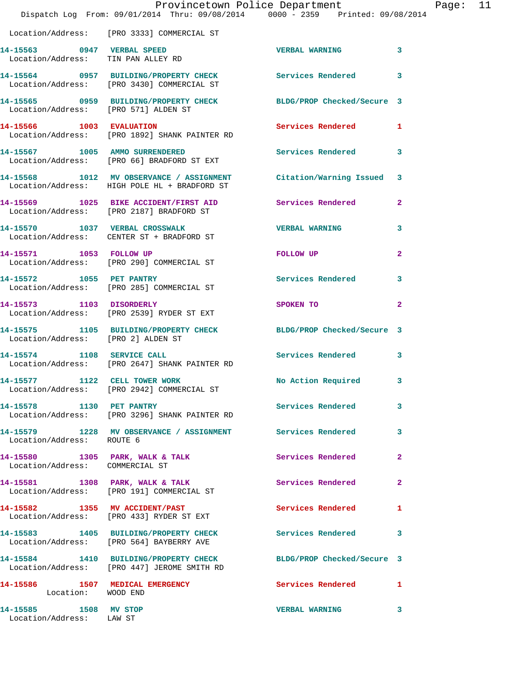|                                                   | Provincetown Police Department The Mage: 11<br>Dispatch Log From: 09/01/2014 Thru: 09/08/2014 0000 - 2359 Printed: 09/08/2014 |                            |              |
|---------------------------------------------------|-------------------------------------------------------------------------------------------------------------------------------|----------------------------|--------------|
|                                                   | Location/Address: [PRO 3333] COMMERCIAL ST                                                                                    |                            |              |
| Location/Address: TIN PAN ALLEY RD                | 14-15563 0947 VERBAL SPEED                                                                                                    | <b>VERBAL WARNING</b>      | 3            |
|                                                   | 14-15564 0957 BUILDING/PROPERTY CHECK Services Rendered 3<br>Location/Address: [PRO 3430] COMMERCIAL ST                       |                            |              |
|                                                   | 14-15565 0959 BUILDING/PROPERTY CHECK BLDG/PROP Checked/Secure 3<br>Location/Address: [PRO 571] ALDEN ST                      |                            |              |
|                                                   | 14-15566 1003 EVALUATION 1003 Services Rendered 1<br>Location/Address: [PRO 1892] SHANK PAINTER RD                            |                            |              |
|                                                   | 14-15567 1005 AMMO SURRENDERED<br>Location/Address: [PRO 66] BRADFORD ST EXT                                                  | Services Rendered 3        |              |
|                                                   | 14-15568 1012 MV OBSERVANCE / ASSIGNMENT Citation/Warning Issued 3<br>Location/Address: HIGH POLE HL + BRADFORD ST            |                            |              |
|                                                   | 14-15569 1025 BIKE ACCIDENT/FIRST AID Services Rendered 2<br>Location/Address: [PRO 2187] BRADFORD ST                         |                            |              |
|                                                   | 14-15570 1037 VERBAL CROSSWALK<br>Location/Address: CENTER ST + BRADFORD ST                                                   | <b>VERBAL WARNING</b>      | 3            |
|                                                   | 14-15571 1053 FOLLOW UP<br>Location/Address: [PRO 290] COMMERCIAL ST                                                          | FOLLOW UP                  | $\mathbf{2}$ |
|                                                   | 14-15572 1055 PET PANTRY<br>Location/Address: [PRO 285] COMMERCIAL ST                                                         | Services Rendered          | 3            |
|                                                   | 14-15573 1103 DISORDERLY<br>Location/Address: [PRO 2539] RYDER ST EXT                                                         | SPOKEN TO 2                |              |
| Location/Address: [PRO 2] ALDEN ST                | 14-15575 1105 BUILDING/PROPERTY CHECK BLDG/PROP Checked/Secure 3                                                              |                            |              |
| 14-15574 1108 SERVICE CALL                        | Location/Address: [PRO 2647] SHANK PAINTER RD                                                                                 | Services Rendered 3        |              |
| 14-15577 1122 CELL TOWER WORK                     | Location/Address: [PRO 2942] COMMERCIAL ST                                                                                    | No Action Required         | 3            |
|                                                   | 14-15578 1130 PET PANTRY (Services Rendered Location/Address: [PRO 3296] SHANK PAINTER RD                                     |                            | 3            |
| Location/Address: ROUTE 6                         | 14-15579 1228 MV OBSERVANCE / ASSIGNMENT Services Rendered                                                                    |                            | 3            |
| Location/Address: COMMERCIAL ST                   | 14-15580 1305 PARK, WALK & TALK                                                                                               | <b>Services Rendered</b> 2 |              |
|                                                   | 14-15581 1308 PARK, WALK & TALK<br>Location/Address: [PRO 191] COMMERCIAL ST                                                  | Services Rendered          | $\mathbf{2}$ |
|                                                   | 14-15582 1355 MV ACCIDENT/PAST<br>Location/Address: [PRO 433] RYDER ST EXT                                                    | Services Rendered 1        |              |
|                                                   | 14-15583 1405 BUILDING/PROPERTY CHECK Services Rendered 3<br>Location/Address: [PRO 564] BAYBERRY AVE                         |                            |              |
|                                                   | 14-15584 1410 BUILDING/PROPERTY CHECK BLDG/PROP Checked/Secure 3<br>Location/Address: [PRO 447] JEROME SMITH RD               |                            |              |
| Location: WOOD END                                | 14-15586 1507 MEDICAL EMERGENCY 1 Services Rendered 1                                                                         |                            |              |
| 14-15585 1508 MV STOP<br>Location/Address: LAW ST |                                                                                                                               | <b>VERBAL WARNING</b>      | 3            |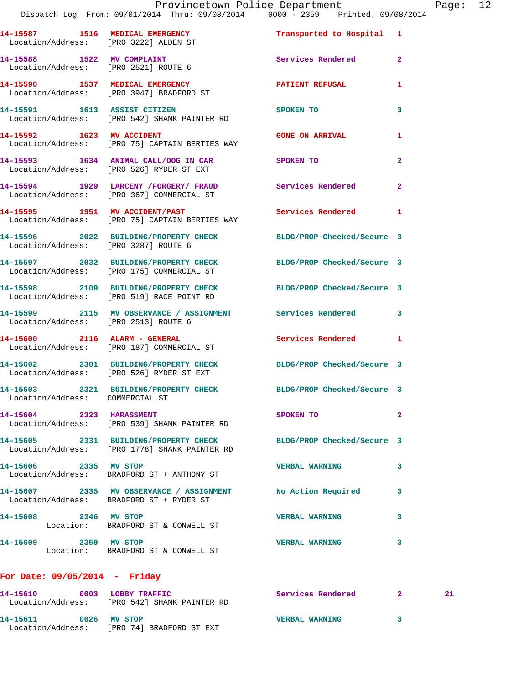| 14-15587 1516 MEDICAL EMERGENCY<br>Location/Address: [PRO 3222] ALDEN ST |                                                                                                                   | Transported to Hospital 1  |                |
|--------------------------------------------------------------------------|-------------------------------------------------------------------------------------------------------------------|----------------------------|----------------|
| 14-15588 1522 MV COMPLAINT<br>Location/Address: [PRO 2521] ROUTE 6       |                                                                                                                   | Services Rendered          | $\overline{2}$ |
|                                                                          | 14-15590 1537 MEDICAL EMERGENCY<br>Location/Address: [PRO 3947] BRADFORD ST                                       | <b>PATIENT REFUSAL</b>     | 1              |
|                                                                          | 14-15591 1613 ASSIST CITIZEN<br>Location/Address: [PRO 542] SHANK PAINTER RD                                      | SPOKEN TO                  | 3              |
| 14-15592 1623 MV ACCIDENT                                                | Location/Address: [PRO 75] CAPTAIN BERTIES WAY                                                                    | <b>GONE ON ARRIVAL</b>     | 1              |
|                                                                          | 14-15593 1634 ANIMAL CALL/DOG IN CAR SPOKEN TO<br>Location/Address: [PRO 526] RYDER ST EXT                        |                            | $\overline{2}$ |
|                                                                          | 14-15594 1929 LARCENY /FORGERY/ FRAUD<br>Location/Address: [PRO 367] COMMERCIAL ST                                | Services Rendered          | $\mathbf{2}$   |
|                                                                          | 14-15595 1951 MV ACCIDENT/PAST<br>Location/Address: [PRO 75] CAPTAIN BERTIES WAY                                  | Services Rendered          | $\mathbf{1}$   |
| Location/Address: [PRO 3287] ROUTE 6                                     | 14-15596 2022 BUILDING/PROPERTY CHECK                                                                             | BLDG/PROP Checked/Secure 3 |                |
|                                                                          | 14-15597 2032 BUILDING/PROPERTY CHECK<br>Location/Address: [PRO 175] COMMERCIAL ST                                | BLDG/PROP Checked/Secure 3 |                |
|                                                                          | 14-15598 2109 BUILDING/PROPERTY CHECK<br>Location/Address: [PRO 519] RACE POINT RD                                | BLDG/PROP Checked/Secure 3 |                |
| Location/Address: [PRO 2513] ROUTE 6                                     | 14-15599 2115 MV OBSERVANCE / ASSIGNMENT Services Rendered 3                                                      |                            |                |
|                                                                          | 14-15600 2116 ALARM - GENERAL<br>Location/Address: [PRO 187] COMMERCIAL ST                                        | Services Rendered          | $\mathbf{1}$   |
|                                                                          | 14-15602 2301 BUILDING/PROPERTY CHECK<br>Location/Address: [PRO 526] RYDER ST EXT                                 | BLDG/PROP Checked/Secure 3 |                |
| Location/Address: COMMERCIAL ST                                          | 14-15603 2321 BUILDING/PROPERTY CHECK BLDG/PROP Checked/Secure 3                                                  |                            |                |
| 14-15604 2323 HARASSMENT                                                 | Location/Address: [PRO 539] SHANK PAINTER RD                                                                      | SPOKEN TO                  |                |
|                                                                          | 14-15605 2331 BUILDING/PROPERTY CHECK BLDG/PROP Checked/Secure 3<br>Location/Address: [PRO 1778] SHANK PAINTER RD |                            |                |
| 14-15606 2335 MV STOP                                                    | Location/Address: BRADFORD ST + ANTHONY ST                                                                        | <b>VERBAL WARNING</b>      | 3              |
|                                                                          | 14-15607 2335 MV OBSERVANCE / ASSIGNMENT No Action Required<br>Location/Address: BRADFORD ST + RYDER ST           |                            | 3              |
| 14-15608 2346 MV STOP                                                    | Location: BRADFORD ST & CONWELL ST                                                                                | <b>VERBAL WARNING</b>      | 3              |
| 14-15609 2359 MV STOP                                                    | Location: BRADFORD ST & CONWELL ST                                                                                | <b>VERBAL WARNING</b>      | 3              |
|                                                                          |                                                                                                                   |                            |                |

## **For Date: 09/05/2014 - Friday**

| 14-15610<br>Location/Address: | 0003 | LOBBY TRAFFIC<br>[PRO 542] SHANK PAINTER RD | Services Rendered     |  |
|-------------------------------|------|---------------------------------------------|-----------------------|--|
| 14–15611<br>Location/Address: | 0026 | MV STOP<br>[PRO 74] BRADFORD ST EXT         | <b>VERBAL WARNING</b> |  |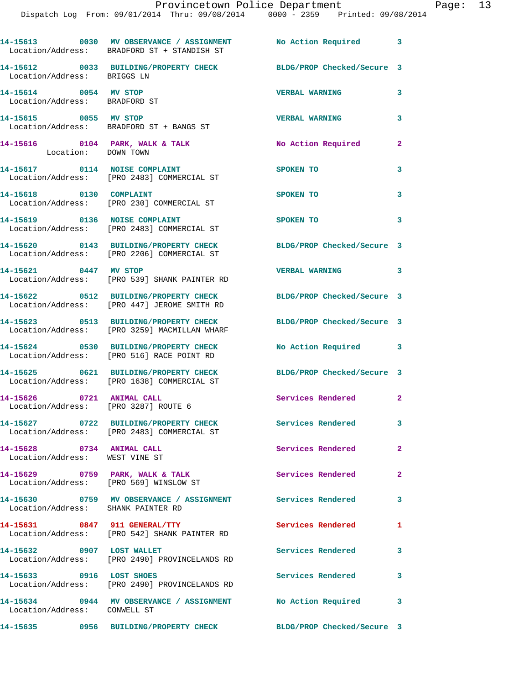|                                                             | 14-15613 0030 MV OBSERVANCE / ASSIGNMENT<br>Location/Address: BRADFORD ST + STANDISH ST | No Action Required 3       |                |
|-------------------------------------------------------------|-----------------------------------------------------------------------------------------|----------------------------|----------------|
| Location/Address: BRIGGS LN                                 | 14-15612 0033 BUILDING/PROPERTY CHECK BLDG/PROP Checked/Secure 3                        |                            |                |
| 14-15614 0054 MV STOP<br>Location/Address: BRADFORD ST      |                                                                                         | <b>VERBAL WARNING</b>      | 3              |
| 14-15615 0055 MV STOP                                       | Location/Address: BRADFORD ST + BANGS ST                                                | <b>VERBAL WARNING</b>      | 3              |
| Location: DOWN TOWN                                         | 14-15616 0104 PARK, WALK & TALK                                                         | No Action Required 2       |                |
|                                                             | 14-15617 0114 NOISE COMPLAINT<br>Location/Address: [PRO 2483] COMMERCIAL ST             | SPOKEN TO                  | 3              |
| 14-15618 0130 COMPLAINT                                     | Location/Address: [PRO 230] COMMERCIAL ST                                               | SPOKEN TO                  | $\mathbf{3}$   |
|                                                             | 14-15619 0136 NOISE COMPLAINT<br>Location/Address: [PRO 2483] COMMERCIAL ST             | <b>SPOKEN TO</b>           | $\mathbf{3}$   |
|                                                             | 14-15620 0143 BUILDING/PROPERTY CHECK<br>Location/Address: [PRO 2206] COMMERCIAL ST     | BLDG/PROP Checked/Secure 3 |                |
| 14-15621 0447 MV STOP                                       | Location/Address: [PRO 539] SHANK PAINTER RD                                            | VERBAL WARNING 3           |                |
|                                                             | 14-15622 0512 BUILDING/PROPERTY CHECK<br>Location/Address: [PRO 447] JEROME SMITH RD    | BLDG/PROP Checked/Secure 3 |                |
|                                                             | 14-15623 0513 BUILDING/PROPERTY CHECK<br>Location/Address: [PRO 3259] MACMILLAN WHARF   | BLDG/PROP Checked/Secure 3 |                |
|                                                             | 14-15624 0530 BUILDING/PROPERTY CHECK<br>Location/Address: [PRO 516] RACE POINT RD      | No Action Required 3       |                |
|                                                             | 14-15625 0621 BUILDING/PROPERTY CHECK<br>Location/Address: [PRO 1638] COMMERCIAL ST     | BLDG/PROP Checked/Secure 3 |                |
| 14-15626 0721 ANIMAL CALL                                   | Location/Address: [PRO 3287] ROUTE 6                                                    | Services Rendered 2        |                |
|                                                             | 14-15627 0722 BUILDING/PROPERTY CHECK<br>Location/Address: [PRO 2483] COMMERCIAL ST     | <b>Services Rendered</b>   | 3              |
| 14-15628 0734 ANIMAL CALL<br>Location/Address: WEST VINE ST |                                                                                         | Services Rendered          | $\mathbf{2}$   |
|                                                             | 14-15629 0759 PARK, WALK & TALK<br>Location/Address: [PRO 569] WINSLOW ST               | Services Rendered          | $\overline{2}$ |
| Location/Address: SHANK PAINTER RD                          | 14-15630 0759 MV OBSERVANCE / ASSIGNMENT Services Rendered 3                            |                            |                |
|                                                             | 14-15631 0847 911 GENERAL/TTY<br>Location/Address: [PRO 542] SHANK PAINTER RD           | Services Rendered          | 1              |
| 14-15632 0907 LOST WALLET                                   | Location/Address: [PRO 2490] PROVINCELANDS RD                                           | Services Rendered          | 3              |
| 14-15633 0916 LOST SHOES                                    | Location/Address: [PRO 2490] PROVINCELANDS RD                                           | <b>Services Rendered</b>   | $\mathbf{3}$   |
| Location/Address: CONWELL ST                                | 14-15634 0944 MV OBSERVANCE / ASSIGNMENT                                                | No Action Required 3       |                |
|                                                             | 14-15635      0956  BUILDING/PROPERTY CHECK        BLDG/PROP Checked/Secure 3           |                            |                |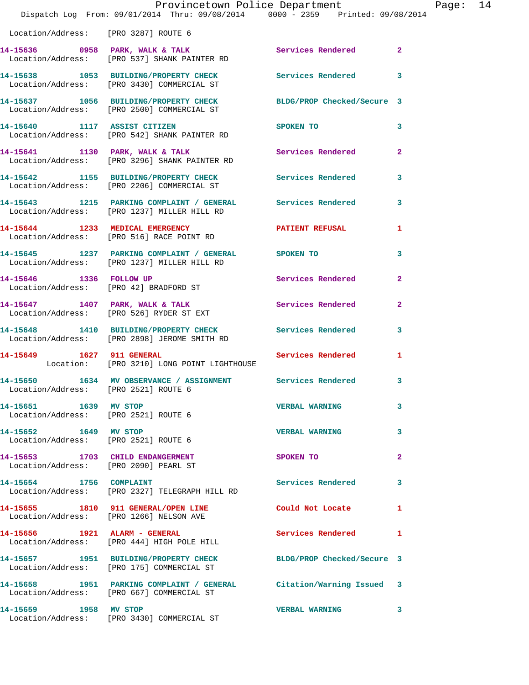|                                                                           | Provincetown Police Department<br>Dispatch Log From: 09/01/2014 Thru: 09/08/2014 0000 - 2359 Printed: 09/08/2014 |                                         |                |
|---------------------------------------------------------------------------|------------------------------------------------------------------------------------------------------------------|-----------------------------------------|----------------|
|                                                                           |                                                                                                                  |                                         |                |
| Location/Address: [PRO 3287] ROUTE 6                                      |                                                                                                                  |                                         |                |
|                                                                           | 14-15636 0958 PARK, WALK & TALK 3 Services Rendered 2<br>Location/Address: [PRO 537] SHANK PAINTER RD            |                                         |                |
|                                                                           | 14-15638 1053 BUILDING/PROPERTY CHECK Services Rendered 3<br>Location/Address: [PRO 3430] COMMERCIAL ST          |                                         |                |
|                                                                           | 14-15637 1056 BUILDING/PROPERTY CHECK BLDG/PROP Checked/Secure 3<br>Location/Address: [PRO 2500] COMMERCIAL ST   |                                         |                |
|                                                                           | 14-15640 1117 ASSIST CITIZEN<br>Location/Address: [PRO 542] SHANK PAINTER RD                                     | SPOKEN TO DESCRIPTION OF REAL PROPERTY. | 3              |
|                                                                           | 14-15641 1130 PARK, WALK & TALK<br>Location/Address: [PRO 3296] SHANK PAINTER RD                                 | Services Rendered                       | $\overline{2}$ |
|                                                                           | 14-15642 1155 BUILDING/PROPERTY CHECK<br>Location/Address: [PRO 2206] COMMERCIAL ST                              | <b>Services Rendered</b>                | 3              |
|                                                                           | 14-15643 1215 PARKING COMPLAINT / GENERAL Services Rendered<br>Location/Address: [PRO 1237] MILLER HILL RD       |                                         | 3              |
|                                                                           | 14-15644 1233 MEDICAL EMERGENCY<br>Location/Address: [PRO 516] RACE POINT RD                                     | PATIENT REFUSAL                         | 1              |
|                                                                           | 14-15645 1237 PARKING COMPLAINT / GENERAL SPOKEN TO<br>Location/Address: [PRO 1237] MILLER HILL RD               |                                         | 3              |
|                                                                           | 14-15646 1336 FOLLOW UP<br>Location/Address: [PRO 42] BRADFORD ST                                                | Services Rendered                       | $\overline{a}$ |
|                                                                           | 14-15647 1407 PARK, WALK & TALK Services Rendered Location/Address: [PRO 526] RYDER ST EXT                       |                                         | $\overline{2}$ |
|                                                                           | 14-15648 1410 BUILDING/PROPERTY CHECK Services Rendered<br>Location/Address: [PRO 2898] JEROME SMITH RD          |                                         | 3              |
| 14-15649 1627 911 GENERAL                                                 | Location: [PRO 3210] LONG POINT LIGHTHOUSE                                                                       | Services Rendered                       | $\mathbf{1}$   |
| 14-15650<br>Location/Address: [PRO 2521] ROUTE 6                          | 1634 MV OBSERVANCE / ASSIGNMENT                                                                                  | Services Rendered                       | 3              |
| 14-15651 1639 MV STOP<br>Location/Address: [PRO 2521] ROUTE 6             |                                                                                                                  | <b>VERBAL WARNING</b>                   | 3              |
| 14-15652 1649 MV STOP<br>Location/Address: [PRO 2521] ROUTE 6             |                                                                                                                  | <b>VERBAL WARNING</b>                   | 3              |
| 14-15653 1703 CHILD ENDANGERMENT<br>Location/Address: [PRO 2090] PEARL ST |                                                                                                                  | SPOKEN TO                               | $\overline{a}$ |
| 14-15654 1756 COMPLAINT                                                   | Location/Address: [PRO 2327] TELEGRAPH HILL RD                                                                   | Services Rendered                       | 3              |
|                                                                           | 14-15655 1810 911 GENERAL/OPEN LINE<br>Location/Address: [PRO 1266] NELSON AVE                                   | Could Not Locate                        | 1              |
|                                                                           | 14-15656 1921 ALARM - GENERAL<br>Location/Address: [PRO 444] HIGH POLE HILL                                      | Services Rendered                       | 1              |
|                                                                           | 14-15657 1951 BUILDING/PROPERTY CHECK BLDG/PROP Checked/Secure 3<br>Location/Address: [PRO 175] COMMERCIAL ST    |                                         |                |
|                                                                           | 14-15658 1951 PARKING COMPLAINT / GENERAL Citation/Warning Issued 3<br>Location/Address: [PRO 667] COMMERCIAL ST |                                         |                |
| 14-15659 1958 MV STOP                                                     | Location/Address: [PRO 3430] COMMERCIAL ST                                                                       | <b>VERBAL WARNING</b>                   | 3              |

Page: 14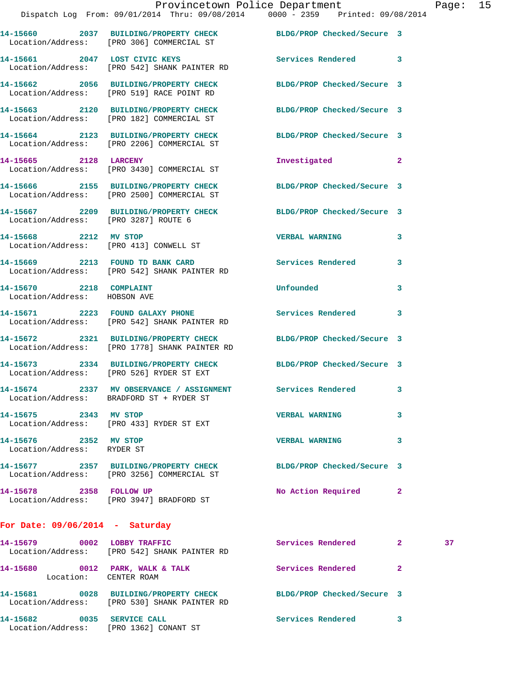|                                                         | Dispatch Log From: 09/01/2014 Thru: 09/08/2014   0000 - 2359   Printed: 09/08/2014                                   | Provincetown Police Department Page: 15 |              |    |  |
|---------------------------------------------------------|----------------------------------------------------------------------------------------------------------------------|-----------------------------------------|--------------|----|--|
|                                                         | 14-15660 2037 BUILDING/PROPERTY CHECK BLDG/PROP Checked/Secure 3<br>Location/Address: [PRO 306] COMMERCIAL ST        |                                         |              |    |  |
|                                                         | 14-15661 2047 LOST CIVIC KEYS Services Rendered 3<br>Location/Address: [PRO 542] SHANK PAINTER RD                    |                                         |              |    |  |
|                                                         | 14-15662 2056 BUILDING/PROPERTY CHECK BLDG/PROP Checked/Secure 3<br>Location/Address: [PRO 519] RACE POINT RD        |                                         |              |    |  |
|                                                         | 14-15663 2120 BUILDING/PROPERTY CHECK BLDG/PROP Checked/Secure 3<br>Location/Address: [PRO 182] COMMERCIAL ST        |                                         |              |    |  |
|                                                         | 14-15664 2123 BUILDING/PROPERTY CHECK BLDG/PROP Checked/Secure 3<br>Location/Address: [PRO 2206] COMMERCIAL ST       |                                         |              |    |  |
| 14-15665 2128 LARCENY                                   | Location/Address: [PRO 3430] COMMERCIAL ST                                                                           | Investigated                            | $\mathbf{2}$ |    |  |
|                                                         | 14-15666 2155 BUILDING/PROPERTY CHECK BLDG/PROP Checked/Secure 3<br>Location/Address: [PRO 2500] COMMERCIAL ST       |                                         |              |    |  |
| Location/Address: [PRO 3287] ROUTE 6                    | 14-15667 2209 BUILDING/PROPERTY CHECK BLDG/PROP Checked/Secure 3                                                     |                                         |              |    |  |
|                                                         | 14-15668 2212 MV STOP<br>Location/Address: [PRO 413] CONWELL ST                                                      | VERBAL WARNING 3                        |              |    |  |
|                                                         | 14-15669 2213 FOUND TD BANK CARD Services Rendered<br>Location/Address: [PRO 542] SHANK PAINTER RD                   |                                         | 3            |    |  |
| 14-15670 2218 COMPLAINT<br>Location/Address: HOBSON AVE |                                                                                                                      | <b>Unfounded</b>                        | 3            |    |  |
|                                                         | 14-15671 2223 FOUND GALAXY PHONE Services Rendered<br>Location/Address: [PRO 542] SHANK PAINTER RD                   |                                         | 3            |    |  |
|                                                         | 14-15672 2321 BUILDING/PROPERTY CHECK BLDG/PROP Checked/Secure 3<br>Location/Address: [PRO 1778] SHANK PAINTER RD    |                                         |              |    |  |
|                                                         | 14-15673   2334   BUILDING/PROPERTY CHECK   BLDG/PROP Checked/Secure   3<br>Location/Address: [PRO 526] RYDER ST EXT |                                         |              |    |  |
|                                                         | 14-15674 2337 MV OBSERVANCE / ASSIGNMENT<br>Location/Address: BRADFORD ST + RYDER ST                                 | <b>Services Rendered</b>                |              |    |  |
| 14-15675 2343 MV STOP                                   | Location/Address: [PRO 433] RYDER ST EXT                                                                             | <b>VERBAL WARNING</b>                   | 3            |    |  |
| 14-15676 2352 MV STOP<br>Location/Address: RYDER ST     |                                                                                                                      | <b>VERBAL WARNING</b>                   | 3            |    |  |
|                                                         | 14-15677 2357 BUILDING/PROPERTY CHECK BLDG/PROP Checked/Secure 3<br>Location/Address: [PRO 3256] COMMERCIAL ST       |                                         |              |    |  |
| 14-15678 2358 FOLLOW UP                                 | Location/Address: [PRO 3947] BRADFORD ST                                                                             | No Action Required 2                    |              |    |  |
| For Date: $09/06/2014$ - Saturday                       |                                                                                                                      |                                         |              |    |  |
|                                                         | 14-15679 0002 LOBBY TRAFFIC<br>Location/Address: [PRO 542] SHANK PAINTER RD                                          | Services Rendered 2                     |              | 37 |  |
| Location: CENTER ROAM                                   | 14-15680 0012 PARK, WALK & TALK                                                                                      | Services Rendered                       | -2           |    |  |
|                                                         | 14-15681 0028 BUILDING/PROPERTY CHECK BLDG/PROP Checked/Secure 3<br>Location/Address: [PRO 530] SHANK PAINTER RD     |                                         |              |    |  |

**14-15682 0035 SERVICE CALL Services Rendered 3** 

Location/Address: [PRO 1362] CONANT ST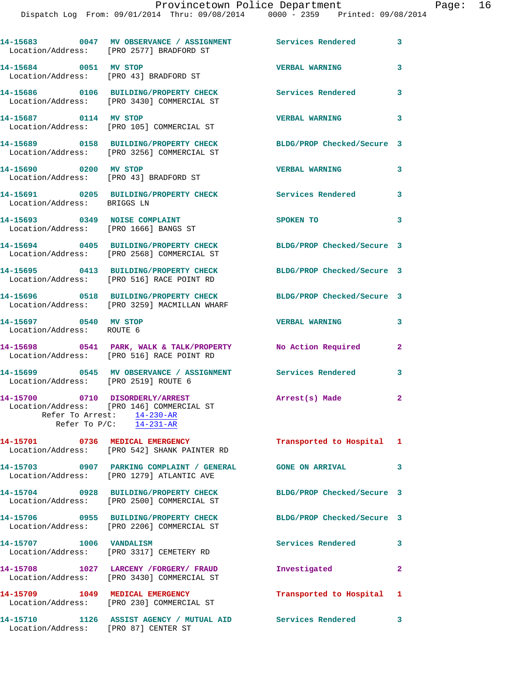Dispatch Log From: 09/01/2014 Thru: 09/08/2014 0000 - 2359 Printed: 09/08/2014

|                                                                        | 14-15683 0047 MV OBSERVANCE / ASSIGNMENT Services Rendered<br>Location/Address: [PRO 2577] BRADFORD ST   |                            | 3              |
|------------------------------------------------------------------------|----------------------------------------------------------------------------------------------------------|----------------------------|----------------|
| 14-15684 0051 MV STOP                                                  | Location/Address: [PRO 43] BRADFORD ST                                                                   | <b>VERBAL WARNING</b>      | 3              |
|                                                                        | 14-15686 0106 BUILDING/PROPERTY CHECK<br>Location/Address: [PRO 3430] COMMERCIAL ST                      | <b>Services Rendered</b>   | 3              |
| 14-15687 0114 MV STOP                                                  | Location/Address: [PRO 105] COMMERCIAL ST                                                                | <b>VERBAL WARNING</b>      | 3              |
|                                                                        | 14-15689 0158 BUILDING/PROPERTY CHECK<br>Location/Address: [PRO 3256] COMMERCIAL ST                      | BLDG/PROP Checked/Secure 3 |                |
| 14-15690 0200 MV STOP                                                  | Location/Address: [PRO 43] BRADFORD ST                                                                   | <b>VERBAL WARNING</b>      | 3              |
| Location/Address: BRIGGS LN                                            | 14-15691 0205 BUILDING/PROPERTY CHECK                                                                    | Services Rendered          | 3              |
| 14-15693 0349 NOISE COMPLAINT<br>Location/Address: [PRO 1666] BANGS ST |                                                                                                          | SPOKEN TO                  | 3              |
|                                                                        | 14-15694 0405 BUILDING/PROPERTY CHECK<br>Location/Address: [PRO 2568] COMMERCIAL ST                      | BLDG/PROP Checked/Secure 3 |                |
|                                                                        | 14-15695 0413 BUILDING/PROPERTY CHECK<br>Location/Address: [PRO 516] RACE POINT RD                       | BLDG/PROP Checked/Secure 3 |                |
|                                                                        | 14-15696 0518 BUILDING/PROPERTY CHECK<br>Location/Address: [PRO 3259] MACMILLAN WHARF                    | BLDG/PROP Checked/Secure 3 |                |
| 14-15697 0540 MV STOP<br>Location/Address: ROUTE 6                     |                                                                                                          | <b>VERBAL WARNING</b>      | 3              |
|                                                                        | 14-15698 0541 PARK, WALK & TALK/PROPERTY No Action Required<br>Location/Address: [PRO 516] RACE POINT RD |                            | $\mathbf{2}$   |
| Location/Address: [PRO 2519] ROUTE 6                                   | 14-15699       0545   MV OBSERVANCE / ASSIGNMENT      Services Rendered                                  |                            | 3              |
| 14-15700 0710 DISORDERLY/ARREST                                        | Location/Address: [PRO 146] COMMERCIAL ST                                                                | Arrest(s) Made             | $\overline{2}$ |
|                                                                        | Refer To Arrest: 14-230-AR<br>Refer To $P/C$ : $14-231-AR$                                               |                            |                |
|                                                                        | 14-15701 0736 MEDICAL EMERGENCY<br>Location/Address: [PRO 542] SHANK PAINTER RD                          | Transported to Hospital 1  |                |
|                                                                        | 14-15703 0907 PARKING COMPLAINT / GENERAL<br>Location/Address: [PRO 1279] ATLANTIC AVE                   | <b>GONE ON ARRIVAL</b>     | 3              |
|                                                                        | 14-15704 0928 BUILDING/PROPERTY CHECK<br>Location/Address: [PRO 2500] COMMERCIAL ST                      | BLDG/PROP Checked/Secure 3 |                |
|                                                                        | 14-15706 0955 BUILDING/PROPERTY CHECK<br>Location/Address: [PRO 2206] COMMERCIAL ST                      | BLDG/PROP Checked/Secure 3 |                |
| 14-15707 1006 VANDALISM                                                | Location/Address: [PRO 3317] CEMETERY RD                                                                 | Services Rendered          | 3              |
|                                                                        | 14-15708 1027 LARCENY /FORGERY/ FRAUD<br>Location/Address: [PRO 3430] COMMERCIAL ST                      | Investigated               | $\mathbf{2}$   |
|                                                                        | 14-15709 1049 MEDICAL EMERGENCY<br>Location/Address: [PRO 230] COMMERCIAL ST                             | Transported to Hospital 1  |                |
| Location/Address: [PRO 87] CENTER ST                                   | 14-15710 1126 ASSIST AGENCY / MUTUAL AID Services Rendered 3                                             |                            |                |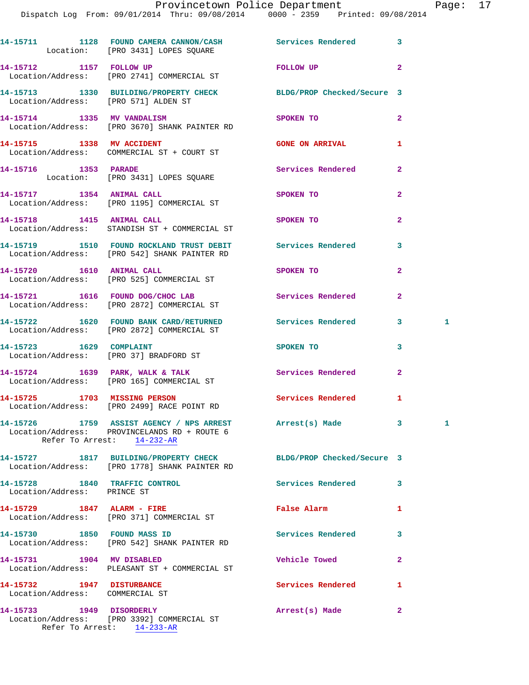## Provincetown Police Department Page: 17

|                                                              | 14-15711 1128 FOUND CAMERA CANNON/CASH Services Rendered<br>Location: [PRO 3431] LOPES SQUARE                                         |                                      | 3                       |   |
|--------------------------------------------------------------|---------------------------------------------------------------------------------------------------------------------------------------|--------------------------------------|-------------------------|---|
|                                                              | 14-15712 1157 FOLLOW UP<br>Location/Address: [PRO 2741] COMMERCIAL ST                                                                 | FOLLOW UP                            | $\overline{2}$          |   |
| Location/Address: [PRO 571] ALDEN ST                         | 14-15713 1330 BUILDING/PROPERTY CHECK BLDG/PROP Checked/Secure 3                                                                      |                                      |                         |   |
|                                                              | 14-15714 1335 MV VANDALISM<br>Location/Address: [PRO 3670] SHANK PAINTER RD                                                           | SPOKEN TO                            | $\overline{a}$          |   |
|                                                              | 14-15715 1338 MV ACCIDENT<br>Location/Address: COMMERCIAL ST + COURT ST                                                               | <b>GONE ON ARRIVAL</b>               | 1                       |   |
|                                                              | 14-15716 1353 PARADE<br>Location: [PRO 3431] LOPES SQUARE                                                                             | Services Rendered                    | $\mathbf{2}$            |   |
|                                                              | 14-15717 1354 ANIMAL CALL<br>Location/Address: [PRO 1195] COMMERCIAL ST                                                               | SPOKEN TO                            | $\overline{a}$          |   |
|                                                              | 14-15718 1415 ANIMAL CALL<br>Location/Address: STANDISH ST + COMMERCIAL ST                                                            | SPOKEN TO                            | $\overline{2}$          |   |
|                                                              | 14-15719 1510 FOUND ROCKLAND TRUST DEBIT Services Rendered<br>Location/Address: [PRO 542] SHANK PAINTER RD                            |                                      | 3                       |   |
|                                                              | 14-15720    1610    ANIMAL CALL<br>Location/Address: [PRO 525] COMMERCIAL ST                                                          | SPOKEN TO                            | $\overline{a}$          |   |
|                                                              | 14-15721 1616 FOUND DOG/CHOC LAB Services Rendered<br>Location/Address: [PRO 2872] COMMERCIAL ST                                      |                                      | $\mathbf{2}$            |   |
|                                                              | 14-15722 1620 FOUND BANK CARD/RETURNED Services Rendered<br>Location/Address: [PRO 2872] COMMERCIAL ST                                |                                      | 3 <sup>7</sup>          | 1 |
| 14-15723 1629 COMPLAINT                                      | Location/Address: [PRO 37] BRADFORD ST                                                                                                | SPOKEN TO THE STATE OF THE SPOKEN TO | 3                       |   |
|                                                              | 14-15724 1639 PARK, WALK & TALK 1988 Services Rendered<br>Location/Address: [PRO 165] COMMERCIAL ST                                   |                                      | $\overline{2}$          |   |
|                                                              | 14-15725 1703 MISSING PERSON<br>Location/Address: [PRO 2499] RACE POINT RD                                                            | Services Rendered                    | 1                       |   |
|                                                              | 14-15726 1759 ASSIST AGENCY / NPS ARREST Arrest(s) Made<br>Location/Address: PROVINCELANDS RD + ROUTE 6<br>Refer To Arrest: 14-232-AR |                                      | $\overline{\mathbf{3}}$ |   |
|                                                              | 14-15727 1817 BUILDING/PROPERTY CHECK<br>Location/Address: [PRO 1778] SHANK PAINTER RD                                                | BLDG/PROP Checked/Secure 3           |                         |   |
| 14-15728 1840 TRAFFIC CONTROL<br>Location/Address: PRINCE ST |                                                                                                                                       | Services Rendered                    | 3                       |   |
|                                                              | 14-15729 1847 ALARM - FIRE<br>Location/Address: [PRO 371] COMMERCIAL ST                                                               | <b>False Alarm</b>                   | 1                       |   |
| 14-15730 1850 FOUND MASS ID                                  | Location/Address: [PRO 542] SHANK PAINTER RD                                                                                          | Services Rendered                    | 3                       |   |
| 14-15731 1904 MV DISABLED                                    | Location/Address: PLEASANT ST + COMMERCIAL ST                                                                                         | <b>Vehicle Towed</b>                 | $\mathbf{2}$            |   |
| 14-15732 1947 DISTURBANCE<br>Location/Address: COMMERCIAL ST |                                                                                                                                       | Services Rendered                    | 1                       |   |
| 14-15733 1949 DISORDERLY                                     |                                                                                                                                       | Arrest(s) Made                       | $\mathbf{2}$            |   |

 Location/Address: [PRO 3392] COMMERCIAL ST Refer To Arrest: 14-233-AR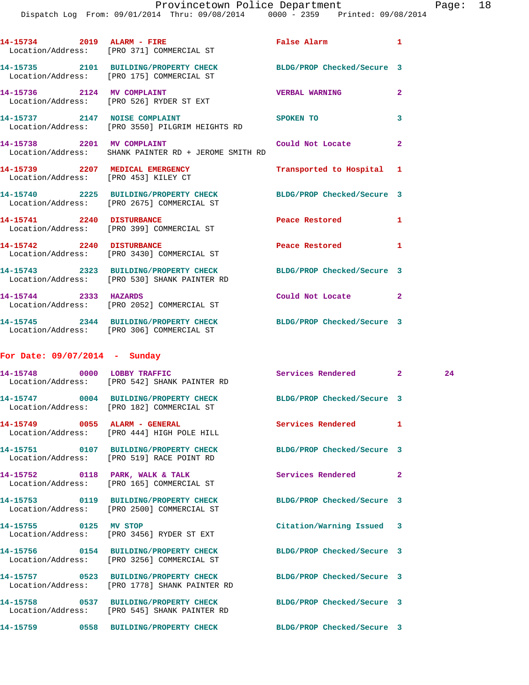|                                 | 14-15734 2019 ALARM - FIRE<br>Location/Address: [PRO 371] COMMERCIAL ST                                          | False Alarm and the state of the state of the state of the state of the state of the state of the state of the | $\mathbf{1}$   |    |
|---------------------------------|------------------------------------------------------------------------------------------------------------------|----------------------------------------------------------------------------------------------------------------|----------------|----|
|                                 | 14-15735 2101 BUILDING/PROPERTY CHECK<br>Location/Address: [PRO 175] COMMERCIAL ST                               | BLDG/PROP Checked/Secure 3                                                                                     |                |    |
|                                 | 14-15736 2124 MV COMPLAINT<br>Location/Address: [PRO 526] RYDER ST EXT                                           | <b>VERBAL WARNING</b>                                                                                          | $\mathbf{2}$   |    |
|                                 | 14-15737 2147 NOISE COMPLAINT<br>Location/Address: [PRO 3550] PILGRIM HEIGHTS RD                                 | SPOKEN TO                                                                                                      | 3              |    |
|                                 | 14-15738 2201 MV COMPLAINT<br>Location/Address: SHANK PAINTER RD + JEROME SMITH RD                               | Could Not Locate                                                                                               | $\mathbf{2}$   |    |
|                                 | 14-15739 2207 MEDICAL EMERGENCY<br>Location/Address: [PRO 453] KILEY CT                                          | Transported to Hospital 1                                                                                      |                |    |
|                                 | 14-15740 2225 BUILDING/PROPERTY CHECK<br>Location/Address: [PRO 2675] COMMERCIAL ST                              | BLDG/PROP Checked/Secure 3                                                                                     |                |    |
|                                 | 14-15741 2240 DISTURBANCE<br>Location/Address: [PRO 399] COMMERCIAL ST                                           | Peace Restored <b>Seaps</b>                                                                                    | 1              |    |
|                                 | 14-15742 2240 DISTURBANCE<br>Location/Address: [PRO 3430] COMMERCIAL ST                                          | Peace Restored and the sea                                                                                     | 1              |    |
|                                 | 14-15743 2323 BUILDING/PROPERTY CHECK BLDG/PROP Checked/Secure 3<br>Location/Address: [PRO 530] SHANK PAINTER RD |                                                                                                                |                |    |
| 14-15744 2333 HAZARDS           | Location/Address: [PRO 2052] COMMERCIAL ST                                                                       | Could Not Locate                                                                                               | $\overline{2}$ |    |
|                                 | 14-15745 2344 BUILDING/PROPERTY CHECK BLDG/PROP Checked/Secure 3<br>Location/Address: [PRO 306] COMMERCIAL ST    |                                                                                                                |                |    |
| For Date: $09/07/2014$ - Sunday |                                                                                                                  |                                                                                                                |                |    |
|                                 | 14-15748 0000 LOBBY TRAFFIC Services Rendered 2<br>Location/Address: [PRO 542] SHANK PAINTER RD                  |                                                                                                                |                | 24 |
|                                 | 14-15747 0004 BUILDING/PROPERTY CHECK<br>Location/Address: [PRO 182] COMMERCIAL ST                               | BLDG/PROP Checked/Secure 3                                                                                     |                |    |
|                                 | 14-15749 0055 ALARM - GENERAL<br>Location/Address: [PRO 444] HIGH POLE HILL                                      | Services Rendered                                                                                              | 1              |    |
|                                 | 14-15751 0107 BUILDING/PROPERTY CHECK BLDG/PROP Checked/Secure 3<br>Location/Address: [PRO 519] RACE POINT RD    |                                                                                                                |                |    |
|                                 | 14-15752 0118 PARK, WALK & TALK<br>Location/Address: [PRO 165] COMMERCIAL ST                                     | Services Rendered                                                                                              | $\mathbf{2}$   |    |
|                                 | 14-15753 0119 BUILDING/PROPERTY CHECK BLDG/PROP Checked/Secure 3<br>Location/Address: [PRO 2500] COMMERCIAL ST   |                                                                                                                |                |    |
| 14-15755 0125 MV STOP           | Location/Address: [PRO 3456] RYDER ST EXT                                                                        | Citation/Warning Issued 3                                                                                      |                |    |
|                                 | 14-15756 0154 BUILDING/PROPERTY CHECK<br>Location/Address: [PRO 3256] COMMERCIAL ST                              | BLDG/PROP Checked/Secure 3                                                                                     |                |    |
|                                 | 14-15757 0523 BUILDING/PROPERTY CHECK<br>Location/Address: [PRO 1778] SHANK PAINTER RD                           | BLDG/PROP Checked/Secure 3                                                                                     |                |    |
|                                 | 14-15758 0537 BUILDING/PROPERTY CHECK<br>Location/Address: [PRO 545] SHANK PAINTER RD                            | BLDG/PROP Checked/Secure 3                                                                                     |                |    |
|                                 | 14-15759 0558 BUILDING/PROPERTY CHECK BLDG/PROP Checked/Secure 3                                                 |                                                                                                                |                |    |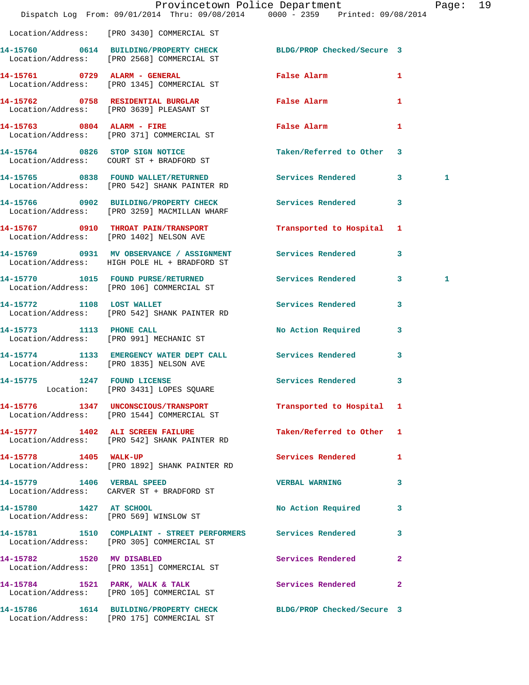|                             | Dispatch Log From: 09/01/2014 Thru: 09/08/2014 0000 - 2359 Printed: 09/08/2014                                 | Provincetown Police Department |              | Page: | 19 |
|-----------------------------|----------------------------------------------------------------------------------------------------------------|--------------------------------|--------------|-------|----|
|                             | Location/Address: [PRO 3430] COMMERCIAL ST                                                                     |                                |              |       |    |
|                             | 14-15760 0614 BUILDING/PROPERTY CHECK BLDG/PROP Checked/Secure 3<br>Location/Address: [PRO 2568] COMMERCIAL ST |                                |              |       |    |
|                             | 14-15761 0729 ALARM - GENERAL<br>Location/Address: [PRO 1345] COMMERCIAL ST                                    | False Alarm <b>Example 20</b>  | $\mathbf{1}$ |       |    |
|                             | 14-15762 0758 RESIDENTIAL BURGLAR<br>Location/Address: [PRO 3639] PLEASANT ST                                  | False Alarm                    | 1            |       |    |
|                             | 14-15763 0804 ALARM - FIRE<br>Location/Address: [PRO 371] COMMERCIAL ST                                        | False Alarm                    | 1            |       |    |
|                             | 14-15764 0826 STOP SIGN NOTICE<br>Location/Address: COURT ST + BRADFORD ST                                     | Taken/Referred to Other 3      |              |       |    |
|                             | 14-15765 0838 FOUND WALLET/RETURNED Services Rendered 3<br>Location/Address: [PRO 542] SHANK PAINTER RD        |                                |              | 1     |    |
|                             | 14-15766 0902 BUILDING/PROPERTY CHECK Services Rendered 3<br>Location/Address: [PRO 3259] MACMILLAN WHARF      |                                |              |       |    |
|                             | 14-15767 0910 THROAT PAIN/TRANSPORT<br>Location/Address: [PRO 1402] NELSON AVE                                 | Transported to Hospital 1      |              |       |    |
|                             | 14-15769 0931 MV OBSERVANCE / ASSIGNMENT Services Rendered 3<br>Location/Address: HIGH POLE HL + BRADFORD ST   |                                |              |       |    |
|                             | 14-15770 1015 FOUND PURSE/RETURNED<br>Location/Address: [PRO 106] COMMERCIAL ST                                | Services Rendered 3            |              | 1     |    |
| 14-15772 1108 LOST WALLET   | Location/Address: [PRO 542] SHANK PAINTER RD                                                                   | Services Rendered              | 3            |       |    |
|                             | 14-15773 1113 PHONE CALL<br>Location/Address: [PRO 991] MECHANIC ST                                            | No Action Required             | $\mathbf{3}$ |       |    |
|                             | 14-15774 1133 EMERGENCY WATER DEPT CALL Services Rendered<br>Location/Address: [PRO 1835] NELSON AVE           |                                | $\mathbf{3}$ |       |    |
| 14-15775 1247 FOUND LICENSE | Location: [PRO 3431] LOPES SQUARE                                                                              | Services Rendered 3            |              |       |    |
|                             | 14-15776 1347 UNCONSCIOUS/TRANSPORT<br>Location/Address: [PRO 1544] COMMERCIAL ST                              | Transported to Hospital 1      |              |       |    |
|                             | 14-15777 1402 ALI SCREEN FAILURE<br>Location/Address: [PRO 542] SHANK PAINTER RD                               | Taken/Referred to Other 1      |              |       |    |
| 14-15778 1405 WALK-UP       | Location/Address: [PRO 1892] SHANK PAINTER RD                                                                  | Services Rendered 1            |              |       |    |
|                             | 14-15779 1406 VERBAL SPEED<br>Location/Address: CARVER ST + BRADFORD ST                                        | <b>VERBAL WARNING</b>          | 3            |       |    |
| 14-15780 1427 AT SCHOOL     | Location/Address: [PRO 569] WINSLOW ST                                                                         | No Action Required 3           |              |       |    |
|                             | 14-15781 1510 COMPLAINT - STREET PERFORMERS Services Rendered<br>Location/Address: [PRO 305] COMMERCIAL ST     |                                | 3            |       |    |
| 14-15782 1520 MV DISABLED   | Location/Address: [PRO 1351] COMMERCIAL ST                                                                     | Services Rendered              | $\mathbf{2}$ |       |    |
|                             | 14-15784 1521 PARK, WALK & TALK<br>Location/Address: [PRO 105] COMMERCIAL ST                                   | Services Rendered              | $\mathbf{2}$ |       |    |
|                             | 14-15786 1614 BUILDING/PROPERTY CHECK BLDG/PROP Checked/Secure 3<br>Location/Address: [PRO 175] COMMERCIAL ST  |                                |              |       |    |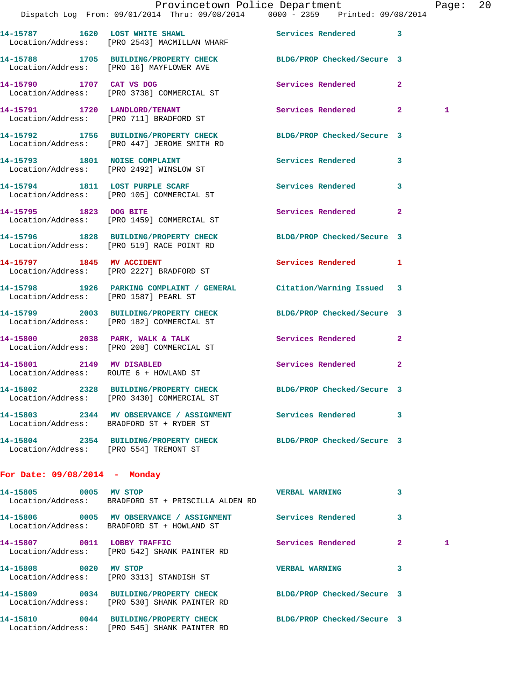|                                        | Provincetown Police Department The Page: 20<br>Dispatch Log From: 09/01/2014 Thru: 09/08/2014 0000 - 2359 Printed: 09/08/2014 |                            |              |              |  |
|----------------------------------------|-------------------------------------------------------------------------------------------------------------------------------|----------------------------|--------------|--------------|--|
|                                        | 14-15787 1620 LOST WHITE SHAWL Services Rendered 3<br>Location/Address: [PRO 2543] MACMILLAN WHARF                            |                            |              |              |  |
|                                        | 14-15788 1705 BUILDING/PROPERTY CHECK BLDG/PROP Checked/Secure 3<br>Location/Address: [PRO 16] MAYFLOWER AVE                  |                            |              |              |  |
|                                        | 14-15790 1707 CAT VS DOG<br>Location/Address: [PRO 3738] COMMERCIAL ST                                                        | Services Rendered 2        |              |              |  |
|                                        | 14-15791 1720 LANDLORD/TENANT<br>Location/Address: [PRO 711] BRADFORD ST                                                      | Services Rendered 2        |              | $\mathbf{1}$ |  |
|                                        | 14-15792 1756 BUILDING/PROPERTY CHECK BLDG/PROP Checked/Secure 3<br>Location/Address: [PRO 447] JEROME SMITH RD               |                            |              |              |  |
|                                        | 14-15793 1801 NOISE COMPLAINT<br>Location/Address: [PRO 2492] WINSLOW ST                                                      | Services Rendered 3        |              |              |  |
|                                        | 14-15794 1811 LOST PURPLE SCARF<br>Location/Address: [PRO 105] COMMERCIAL ST                                                  | Services Rendered 3        |              |              |  |
| 14-15795 1823 DOG BITE                 | Location/Address: [PRO 1459] COMMERCIAL ST                                                                                    | Services Rendered 2        |              |              |  |
|                                        | 14-15796 1828 BUILDING/PROPERTY CHECK BLDG/PROP Checked/Secure 3<br>Location/Address: [PRO 519] RACE POINT RD                 |                            |              |              |  |
|                                        | 14-15797 1845 MV ACCIDENT<br>Location/Address: [PRO 2227] BRADFORD ST                                                         | Services Rendered 1        |              |              |  |
|                                        | 14-15798 1926 PARKING COMPLAINT / GENERAL Citation/Warning Issued 3<br>Location/Address: [PRO 1587] PEARL ST                  |                            |              |              |  |
|                                        | 14-15799 2003 BUILDING/PROPERTY CHECK BLDG/PROP Checked/Secure 3<br>Location/Address: [PRO 182] COMMERCIAL ST                 |                            |              |              |  |
|                                        | 14-15800 2038 PARK, WALK & TALK<br>Location/Address: [PRO 208] COMMERCIAL ST                                                  | Services Rendered 2        |              |              |  |
|                                        | 14-15801 2149 MV DISABLED<br>Location/Address: ROUTE 6 + HOWLAND ST                                                           | Services Rendered          | $\mathbf{2}$ |              |  |
|                                        | 14-15802 2328 BUILDING/PROPERTY CHECK<br>Location/Address: [PRO 3430] COMMERCIAL ST                                           | BLDG/PROP Checked/Secure 3 |              |              |  |
|                                        | 14-15803 2344 MV OBSERVANCE / ASSIGNMENT Services Rendered 3<br>Location/Address: BRADFORD ST + RYDER ST                      |                            |              |              |  |
| Location/Address: [PRO 554] TREMONT ST | 14-15804 2354 BUILDING/PROPERTY CHECK BLDG/PROP Checked/Secure 3                                                              |                            |              |              |  |
| For Date: $09/08/2014$ - Monday        |                                                                                                                               |                            |              |              |  |
| 14-15805 0005 MV STOP                  | Location/Address: BRADFORD ST + PRISCILLA ALDEN RD                                                                            | <b>THE VERBAL WARNING</b>  | 3            |              |  |
|                                        | 14-15806 6 0005 MV OBSERVANCE / ASSIGNMENT Services Rendered<br>Location/Address: BRADFORD ST + HOWLAND ST                    |                            | 3            |              |  |
|                                        | 14-15807 0011 LOBBY TRAFFIC<br>Location/Address: [PRO 542] SHANK PAINTER RD                                                   | Services Rendered          | $\mathbf{2}$ | 1            |  |

**14-15808 0020 MV STOP VERBAL WARNING 3**  Location/Address: [PRO 3313] STANDISH ST

Location/Address: [PRO 545] SHANK PAINTER RD

 Location/Address: [PRO 530] SHANK PAINTER RD **14-15810 0044 BUILDING/PROPERTY CHECK BLDG/PROP Checked/Secure 3** 

**14-15809 0034 BUILDING/PROPERTY CHECK BLDG/PROP Checked/Secure 3**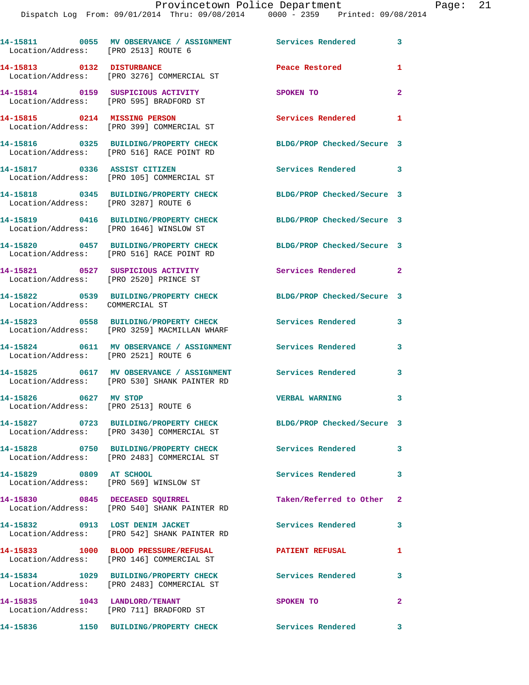| Location/Address: [PRO 2513] ROUTE 6                             | 14-15811 0055 MV OBSERVANCE / ASSIGNMENT Services Rendered                                                 |                                            | 3              |
|------------------------------------------------------------------|------------------------------------------------------------------------------------------------------------|--------------------------------------------|----------------|
| 14-15813 0132 DISTURBANCE                                        | Location/Address: [PRO 3276] COMMERCIAL ST                                                                 | Peace Restored                             | 1              |
|                                                                  | 14-15814 0159 SUSPICIOUS ACTIVITY<br>Location/Address: [PRO 595] BRADFORD ST                               | SPOKEN TO                                  | $\overline{2}$ |
| 14-15815 0214 MISSING PERSON                                     | Location/Address: [PRO 399] COMMERCIAL ST                                                                  | <b>Services Rendered</b><br>$\blacksquare$ |                |
|                                                                  | 14-15816 0325 BUILDING/PROPERTY CHECK<br>Location/Address: [PRO 516] RACE POINT RD                         | BLDG/PROP Checked/Secure 3                 |                |
| 14-15817 0336 ASSIST CITIZEN                                     | Location/Address: [PRO 105] COMMERCIAL ST                                                                  | Services Rendered 3                        |                |
| Location/Address: [PRO 3287] ROUTE 6                             | 14-15818 0345 BUILDING/PROPERTY CHECK                                                                      | BLDG/PROP Checked/Secure 3                 |                |
|                                                                  | 14-15819 0416 BUILDING/PROPERTY CHECK<br>Location/Address: [PRO 1646] WINSLOW ST                           | BLDG/PROP Checked/Secure 3                 |                |
|                                                                  | 14-15820 0457 BUILDING/PROPERTY CHECK<br>Location/Address: [PRO 516] RACE POINT RD                         | BLDG/PROP Checked/Secure 3                 |                |
| Location/Address: [PRO 2520] PRINCE ST                           | 14-15821 0527 SUSPICIOUS ACTIVITY                                                                          | Services Rendered                          | $\mathbf{2}$   |
| Location/Address: COMMERCIAL ST                                  | 14-15822 0539 BUILDING/PROPERTY CHECK                                                                      | BLDG/PROP Checked/Secure 3                 |                |
|                                                                  | 14-15823 0558 BUILDING/PROPERTY CHECK<br>Location/Address: [PRO 3259] MACMILLAN WHARF                      | Services Rendered                          | 3              |
| Location/Address: [PRO 2521] ROUTE 6                             | 14-15824 0611 MV OBSERVANCE / ASSIGNMENT Services Rendered                                                 |                                            | 3              |
|                                                                  | 14-15825 0617 MV OBSERVANCE / ASSIGNMENT Services Rendered<br>Location/Address: [PRO 530] SHANK PAINTER RD |                                            | 3              |
| 0627 MV STOP<br>14-15826<br>Location/Address: [PRO 2513] ROUTE 6 |                                                                                                            | <b>VERBAL WARNING</b>                      | 3              |
| 14-15827                                                         | 0723 BUILDING/PROPERTY CHECK<br>Location/Address: [PRO 3430] COMMERCIAL ST                                 | BLDG/PROP Checked/Secure 3                 |                |
|                                                                  | 14-15828 0750 BUILDING/PROPERTY CHECK<br>Location/Address: [PRO 2483] COMMERCIAL ST                        | <b>Services Rendered</b>                   | 3              |
| 14-15829 0809 AT SCHOOL                                          | Location/Address: [PRO 569] WINSLOW ST                                                                     | Services Rendered                          | 3              |
|                                                                  | 14-15830 0845 DECEASED SQUIRREL<br>Location/Address: [PRO 540] SHANK PAINTER RD                            | Taken/Referred to Other 2                  |                |
| 14-15832 0913 LOST DENIM JACKET                                  | Location/Address: [PRO 542] SHANK PAINTER RD                                                               | Services Rendered                          | 3              |
|                                                                  | 14-15833 1000 BLOOD PRESSURE/REFUSAL                                                                       | <b>PATIENT REFUSAL</b>                     | 1              |
|                                                                  | Location/Address: [PRO 146] COMMERCIAL ST<br>14-15834 1029 BUILDING/PROPERTY CHECK                         | <b>Services Rendered</b>                   | 3              |
| 14-15835 1043 LANDLORD/TENANT                                    | Location/Address: [PRO 2483] COMMERCIAL ST                                                                 | SPOKEN TO                                  | $\overline{2}$ |
|                                                                  | Location/Address: [PRO 711] BRADFORD ST<br>14-15836 1150 BUILDING/PROPERTY CHECK                           | Services Rendered 3                        |                |
|                                                                  |                                                                                                            |                                            |                |